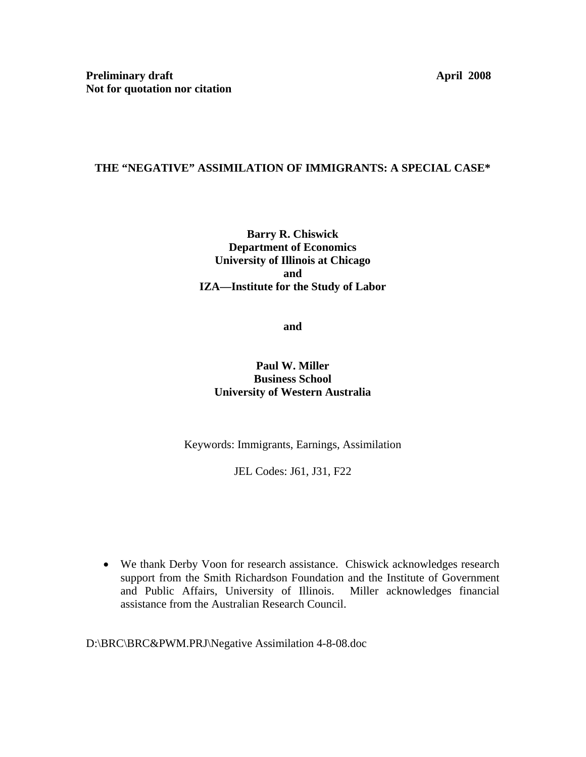## **THE "NEGATIVE" ASSIMILATION OF IMMIGRANTS: A SPECIAL CASE\***

## **Barry R. Chiswick Department of Economics University of Illinois at Chicago and IZA—Institute for the Study of Labor**

**and** 

## **Paul W. Miller Business School University of Western Australia**

Keywords: Immigrants, Earnings, Assimilation

JEL Codes: J61, J31, F22

• We thank Derby Voon for research assistance. Chiswick acknowledges research support from the Smith Richardson Foundation and the Institute of Government and Public Affairs, University of Illinois. Miller acknowledges financial assistance from the Australian Research Council.

D:\BRC\BRC&PWM.PRJ\Negative Assimilation 4-8-08.doc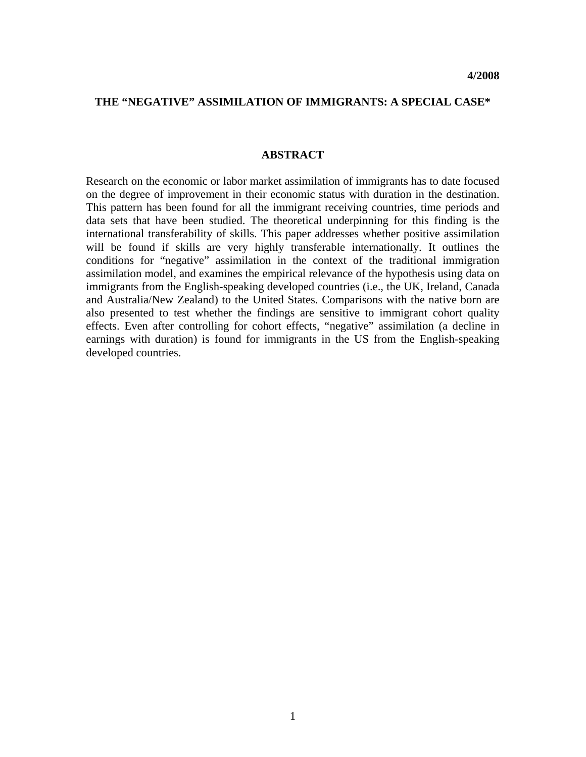### **THE "NEGATIVE" ASSIMILATION OF IMMIGRANTS: A SPECIAL CASE\***

#### **ABSTRACT**

Research on the economic or labor market assimilation of immigrants has to date focused on the degree of improvement in their economic status with duration in the destination. This pattern has been found for all the immigrant receiving countries, time periods and data sets that have been studied. The theoretical underpinning for this finding is the international transferability of skills. This paper addresses whether positive assimilation will be found if skills are very highly transferable internationally. It outlines the conditions for "negative" assimilation in the context of the traditional immigration assimilation model, and examines the empirical relevance of the hypothesis using data on immigrants from the English-speaking developed countries (i.e., the UK, Ireland, Canada and Australia/New Zealand) to the United States. Comparisons with the native born are also presented to test whether the findings are sensitive to immigrant cohort quality effects. Even after controlling for cohort effects, "negative" assimilation (a decline in earnings with duration) is found for immigrants in the US from the English-speaking developed countries.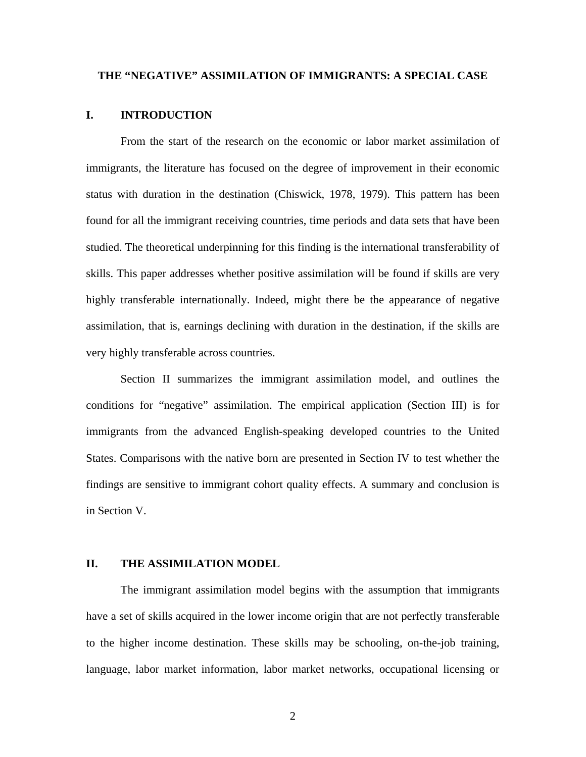#### **THE "NEGATIVE" ASSIMILATION OF IMMIGRANTS: A SPECIAL CASE**

#### **I. INTRODUCTION**

From the start of the research on the economic or labor market assimilation of immigrants, the literature has focused on the degree of improvement in their economic status with duration in the destination (Chiswick, 1978, 1979). This pattern has been found for all the immigrant receiving countries, time periods and data sets that have been studied. The theoretical underpinning for this finding is the international transferability of skills. This paper addresses whether positive assimilation will be found if skills are very highly transferable internationally. Indeed, might there be the appearance of negative assimilation, that is, earnings declining with duration in the destination, if the skills are very highly transferable across countries.

Section II summarizes the immigrant assimilation model, and outlines the conditions for "negative" assimilation. The empirical application (Section III) is for immigrants from the advanced English-speaking developed countries to the United States. Comparisons with the native born are presented in Section IV to test whether the findings are sensitive to immigrant cohort quality effects. A summary and conclusion is in Section V.

### **II. THE ASSIMILATION MODEL**

The immigrant assimilation model begins with the assumption that immigrants have a set of skills acquired in the lower income origin that are not perfectly transferable to the higher income destination. These skills may be schooling, on-the-job training, language, labor market information, labor market networks, occupational licensing or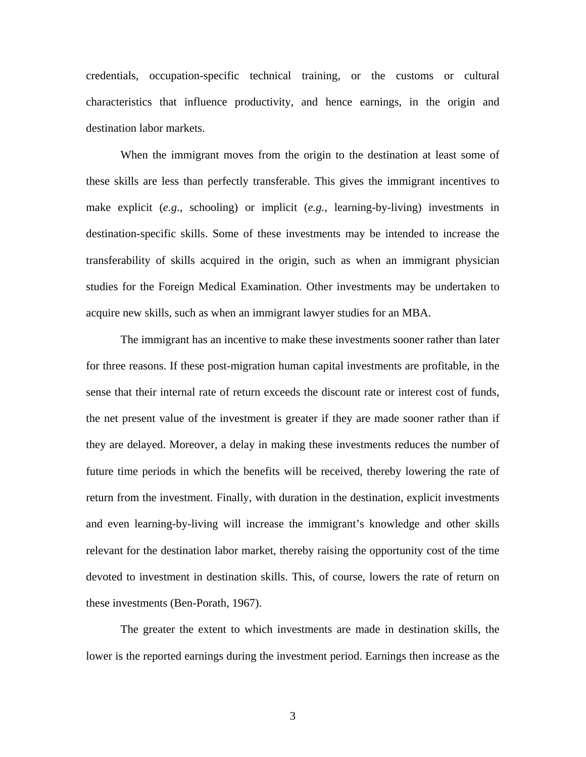credentials, occupation-specific technical training, or the customs or cultural characteristics that influence productivity, and hence earnings, in the origin and destination labor markets.

When the immigrant moves from the origin to the destination at least some of these skills are less than perfectly transferable. This gives the immigrant incentives to make explicit (*e.g*., schooling) or implicit (*e.g.*, learning-by-living) investments in destination-specific skills. Some of these investments may be intended to increase the transferability of skills acquired in the origin, such as when an immigrant physician studies for the Foreign Medical Examination. Other investments may be undertaken to acquire new skills, such as when an immigrant lawyer studies for an MBA.

The immigrant has an incentive to make these investments sooner rather than later for three reasons. If these post-migration human capital investments are profitable, in the sense that their internal rate of return exceeds the discount rate or interest cost of funds, the net present value of the investment is greater if they are made sooner rather than if they are delayed. Moreover, a delay in making these investments reduces the number of future time periods in which the benefits will be received, thereby lowering the rate of return from the investment. Finally, with duration in the destination, explicit investments and even learning-by-living will increase the immigrant's knowledge and other skills relevant for the destination labor market, thereby raising the opportunity cost of the time devoted to investment in destination skills. This, of course, lowers the rate of return on these investments (Ben-Porath, 1967).

The greater the extent to which investments are made in destination skills, the lower is the reported earnings during the investment period. Earnings then increase as the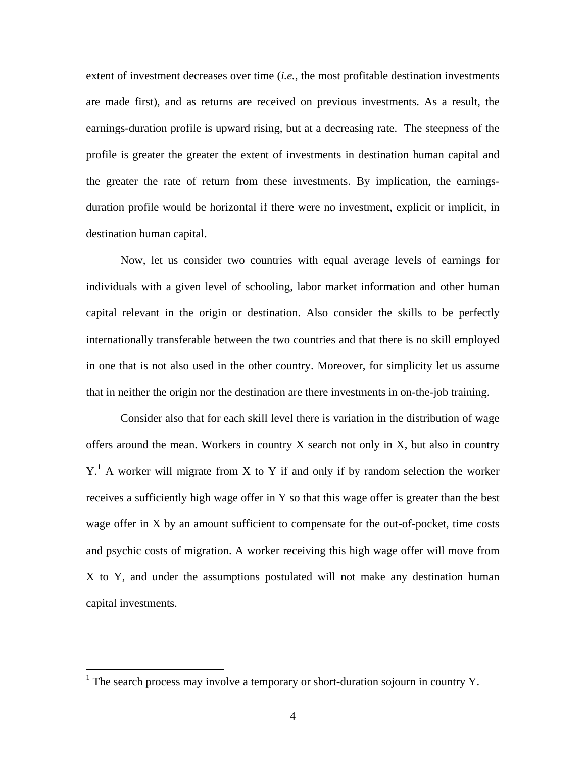extent of investment decreases over time (*i.e.*, the most profitable destination investments are made first), and as returns are received on previous investments. As a result, the earnings-duration profile is upward rising, but at a decreasing rate. The steepness of the profile is greater the greater the extent of investments in destination human capital and the greater the rate of return from these investments. By implication, the earningsduration profile would be horizontal if there were no investment, explicit or implicit, in destination human capital.

Now, let us consider two countries with equal average levels of earnings for individuals with a given level of schooling, labor market information and other human capital relevant in the origin or destination. Also consider the skills to be perfectly internationally transferable between the two countries and that there is no skill employed in one that is not also used in the other country. Moreover, for simplicity let us assume that in neither the origin nor the destination are there investments in on-the-job training.

Consider also that for each skill level there is variation in the distribution of wage offers around the mean. Workers in country X search not only in X, but also in country  $Y<sup>1</sup>$ A worker will migrate from X to Y if and only if by random selection the worker receives a sufficiently high wage offer in Y so that this wage offer is greater than the best wage offer in X by an amount sufficient to compensate for the out-of-pocket, time costs and psychic costs of migration. A worker receiving this high wage offer will move from X to Y, and under the assumptions postulated will not make any destination human capital investments.

<u>.</u>

<span id="page-4-0"></span><sup>&</sup>lt;sup>1</sup> The search process may involve a temporary or short-duration sojourn in country Y.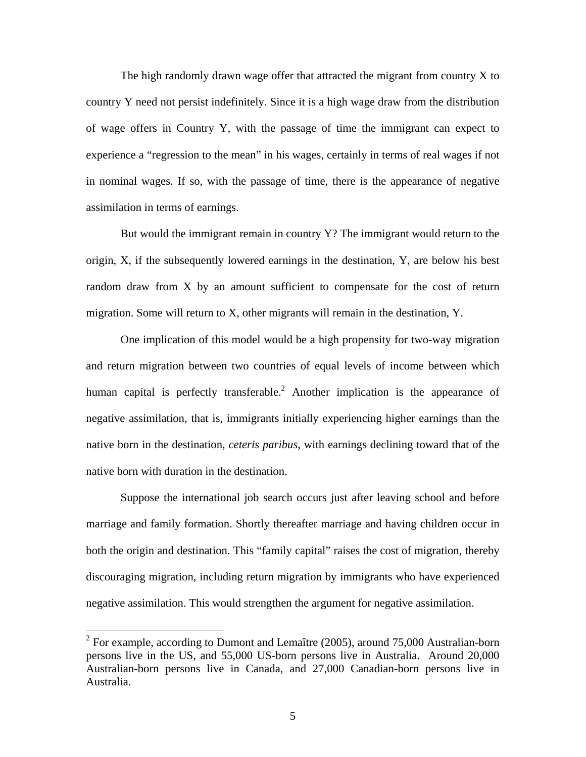The high randomly drawn wage offer that attracted the migrant from country X to country Y need not persist indefinitely. Since it is a high wage draw from the distribution of wage offers in Country Y, with the passage of time the immigrant can expect to experience a "regression to the mean" in his wages, certainly in terms of real wages if not in nominal wages. If so, with the passage of time, there is the appearance of negative assimilation in terms of earnings.

But would the immigrant remain in country Y? The immigrant would return to the origin, X, if the subsequently lowered earnings in the destination, Y, are below his best random draw from X by an amount sufficient to compensate for the cost of return migration. Some will return to X, other migrants will remain in the destination, Y.

One implication of this model would be a high propensity for two-way migration and return migration between two countries of equal levels of income between which human capital is perfectly transferable.<sup>2</sup> Another implication is the appearance of negative assimilation, that is, immigrants initially experiencing higher earnings than the native born in the destination, *ceteris paribus*, with earnings declining toward that of the native born with duration in the destination.

Suppose the international job search occurs just after leaving school and before marriage and family formation. Shortly thereafter marriage and having children occur in both the origin and destination. This "family capital" raises the cost of migration, thereby discouraging migration, including return migration by immigrants who have experienced negative assimilation. This would strengthen the argument for negative assimilation.

1

<span id="page-5-0"></span><sup>&</sup>lt;sup>2</sup> For example, according to Dumont and Lemaître (2005), around 75,000 Australian-born persons live in the US, and 55,000 US-born persons live in Australia. Around 20,000 Australian-born persons live in Canada, and 27,000 Canadian-born persons live in Australia.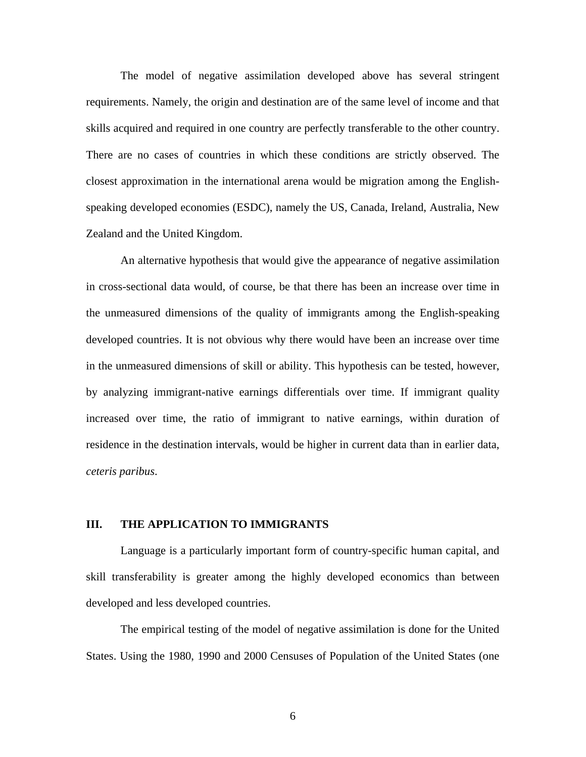The model of negative assimilation developed above has several stringent requirements. Namely, the origin and destination are of the same level of income and that skills acquired and required in one country are perfectly transferable to the other country. There are no cases of countries in which these conditions are strictly observed. The closest approximation in the international arena would be migration among the Englishspeaking developed economies (ESDC), namely the US, Canada, Ireland, Australia, New Zealand and the United Kingdom.

An alternative hypothesis that would give the appearance of negative assimilation in cross-sectional data would, of course, be that there has been an increase over time in the unmeasured dimensions of the quality of immigrants among the English-speaking developed countries. It is not obvious why there would have been an increase over time in the unmeasured dimensions of skill or ability. This hypothesis can be tested, however, by analyzing immigrant-native earnings differentials over time. If immigrant quality increased over time, the ratio of immigrant to native earnings, within duration of residence in the destination intervals, would be higher in current data than in earlier data, *ceteris paribus*.

#### **III. THE APPLICATION TO IMMIGRANTS**

Language is a particularly important form of country-specific human capital, and skill transferability is greater among the highly developed economics than between developed and less developed countries.

The empirical testing of the model of negative assimilation is done for the United States. Using the 1980, 1990 and 2000 Censuses of Population of the United States (one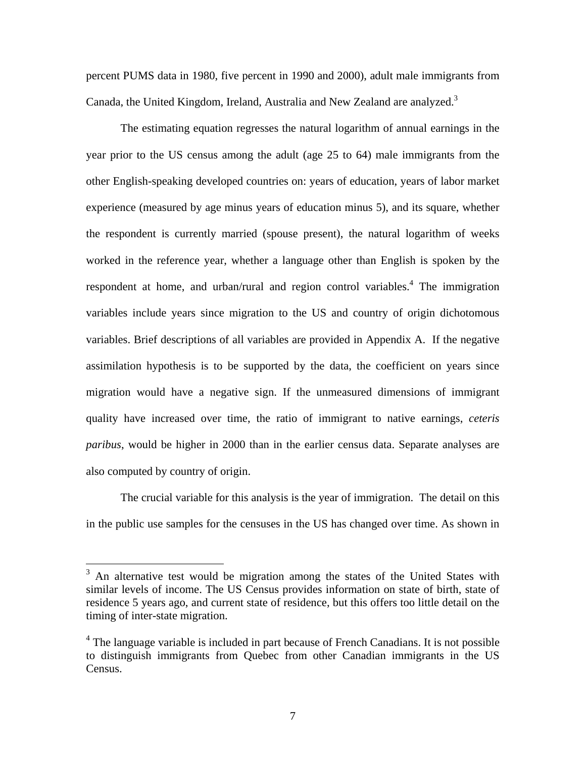percent PUMS data in 1980, five percent in 1990 and 2000), adult male immigrants from Canada, the United Kingdom, Ireland, Australia and New Zealand are analyzed.<sup>[3](#page-7-0)</sup>

The estimating equation regresses the natural logarithm of annual earnings in the year prior to the US census among the adult (age 25 to 64) male immigrants from the other English-speaking developed countries on: years of education, years of labor market experience (measured by age minus years of education minus 5), and its square, whether the respondent is currently married (spouse present), the natural logarithm of weeks worked in the reference year, whether a language other than English is spoken by the respondent at home, and urban/rural and region control variables.<sup>4</sup> The immigration variables include years since migration to the US and country of origin dichotomous variables. Brief descriptions of all variables are provided in Appendix A. If the negative assimilation hypothesis is to be supported by the data, the coefficient on years since migration would have a negative sign. If the unmeasured dimensions of immigrant quality have increased over time, the ratio of immigrant to native earnings, *ceteris paribus*, would be higher in 2000 than in the earlier census data. Separate analyses are also computed by country of origin.

The crucial variable for this analysis is the year of immigration. The detail on this in the public use samples for the censuses in the US has changed over time. As shown in

 $\overline{a}$ 

<span id="page-7-0"></span><sup>&</sup>lt;sup>3</sup> An alternative test would be migration among the states of the United States with similar levels of income. The US Census provides information on state of birth, state of residence 5 years ago, and current state of residence, but this offers too little detail on the timing of inter-state migration.

<span id="page-7-1"></span><sup>&</sup>lt;sup>4</sup> The language variable is included in part because of French Canadians. It is not possible to distinguish immigrants from Quebec from other Canadian immigrants in the US Census.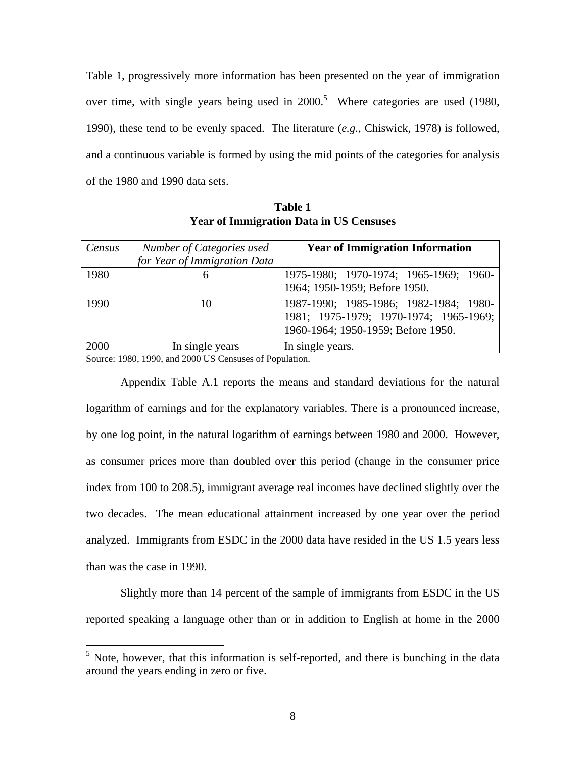Table 1, progressively more information has been presented on the year of immigration over time, with single years being used in  $2000$ .<sup>[5](#page-8-0)</sup> Where categories are used (1980, 1990), these tend to be evenly spaced. The literature (*e.g.*, Chiswick, 1978) is followed, and a continuous variable is formed by using the mid points of the categories for analysis of the 1980 and 1990 data sets.

| Census | Number of Categories used<br>for Year of Immigration Data | <b>Year of Immigration Information</b>                                                                                 |
|--------|-----------------------------------------------------------|------------------------------------------------------------------------------------------------------------------------|
| 1980   | 6                                                         | 1975-1980; 1970-1974; 1965-1969; 1960-<br>1964; 1950-1959; Before 1950.                                                |
| 1990   | 10                                                        | 1987-1990; 1985-1986; 1982-1984; 1980-<br>1981; 1975-1979; 1970-1974; 1965-1969;<br>1960-1964; 1950-1959; Before 1950. |
| 2000   | In single years                                           | In single years.                                                                                                       |
| $\sim$ | 1.0000110.0<br>$\mathbf{c}$ $\mathbf{r}$<br>1000          | $\sim$                                                                                                                 |

**Table 1 Year of Immigration Data in US Censuses** 

Source: 1980, 1990, and 2000 US Censuses of Population.

 $\overline{a}$ 

Appendix Table A.1 reports the means and standard deviations for the natural logarithm of earnings and for the explanatory variables. There is a pronounced increase, by one log point, in the natural logarithm of earnings between 1980 and 2000. However, as consumer prices more than doubled over this period (change in the consumer price index from 100 to 208.5), immigrant average real incomes have declined slightly over the two decades. The mean educational attainment increased by one year over the period analyzed. Immigrants from ESDC in the 2000 data have resided in the US 1.5 years less than was the case in 1990.

Slightly more than 14 percent of the sample of immigrants from ESDC in the US reported speaking a language other than or in addition to English at home in the 2000

<span id="page-8-0"></span> $<sup>5</sup>$  Note, however, that this information is self-reported, and there is bunching in the data</sup> around the years ending in zero or five.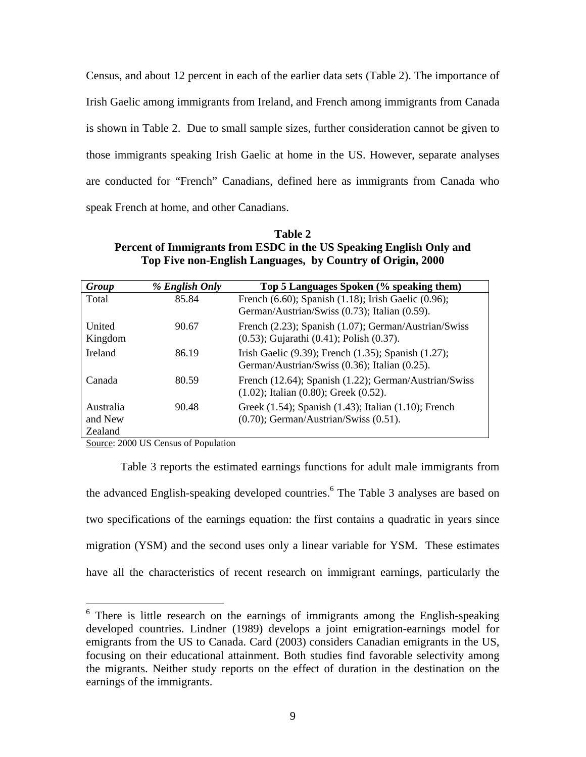Census, and about 12 percent in each of the earlier data sets (Table 2). The importance of Irish Gaelic among immigrants from Ireland, and French among immigrants from Canada is shown in Table 2. Due to small sample sizes, further consideration cannot be given to those immigrants speaking Irish Gaelic at home in the US. However, separate analyses are conducted for "French" Canadians, defined here as immigrants from Canada who speak French at home, and other Canadians.

**Table 2 Percent of Immigrants from ESDC in the US Speaking English Only and Top Five non-English Languages, by Country of Origin, 2000** 

| Group                           | % English Only | Top 5 Languages Spoken (% speaking them)                                                                  |
|---------------------------------|----------------|-----------------------------------------------------------------------------------------------------------|
| Total                           | 85.84          | French (6.60); Spanish (1.18); Irish Gaelic (0.96);<br>German/Austrian/Swiss (0.73); Italian (0.59).      |
| United<br>Kingdom               | 90.67          | French (2.23); Spanish (1.07); German/Austrian/Swiss<br>$(0.53)$ ; Gujarathi $(0.41)$ ; Polish $(0.37)$ . |
| <b>Ireland</b>                  | 86.19          | Irish Gaelic (9.39); French (1.35); Spanish (1.27);<br>German/Austrian/Swiss (0.36); Italian (0.25).      |
| Canada                          | 80.59          | French (12.64); Spanish (1.22); German/Austrian/Swiss<br>$(1.02)$ ; Italian $(0.80)$ ; Greek $(0.52)$ .   |
| Australia<br>and New<br>Zealand | 90.48          | Greek (1.54); Spanish (1.43); Italian (1.10); French<br>$(0.70)$ ; German/Austrian/Swiss $(0.51)$ .       |

Source: 2000 US Census of Population

<u>.</u>

Table 3 reports the estimated earnings functions for adult male immigrants from the advanced English-speaking developed countries.<sup>[6](#page-9-0)</sup> The Table 3 analyses are based on two specifications of the earnings equation: the first contains a quadratic in years since migration (YSM) and the second uses only a linear variable for YSM. These estimates have all the characteristics of recent research on immigrant earnings, particularly the

<span id="page-9-0"></span><sup>&</sup>lt;sup>6</sup> There is little research on the earnings of immigrants among the English-speaking developed countries. Lindner (1989) develops a joint emigration-earnings model for emigrants from the US to Canada. Card (2003) considers Canadian emigrants in the US, focusing on their educational attainment. Both studies find favorable selectivity among the migrants. Neither study reports on the effect of duration in the destination on the earnings of the immigrants.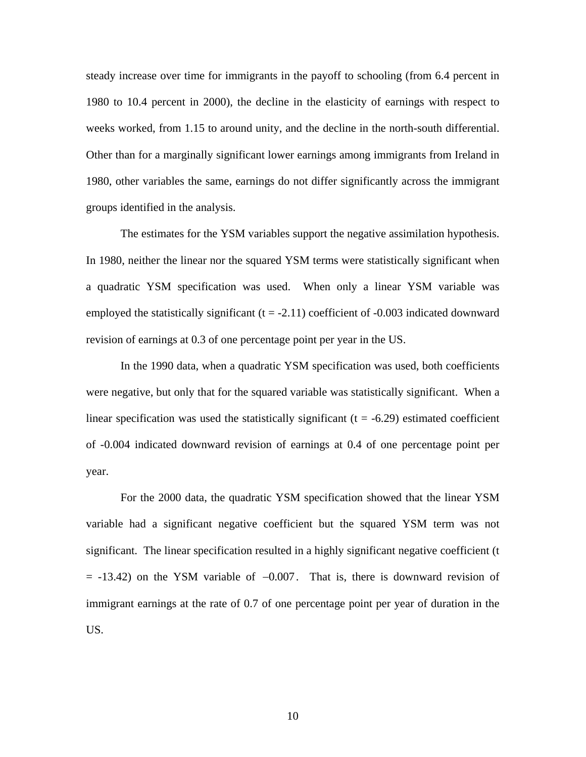steady increase over time for immigrants in the payoff to schooling (from 6.4 percent in 1980 to 10.4 percent in 2000), the decline in the elasticity of earnings with respect to weeks worked, from 1.15 to around unity, and the decline in the north-south differential. Other than for a marginally significant lower earnings among immigrants from Ireland in 1980, other variables the same, earnings do not differ significantly across the immigrant groups identified in the analysis.

The estimates for the YSM variables support the negative assimilation hypothesis. In 1980, neither the linear nor the squared YSM terms were statistically significant when a quadratic YSM specification was used. When only a linear YSM variable was employed the statistically significant  $(t = -2.11)$  coefficient of  $-0.003$  indicated downward revision of earnings at 0.3 of one percentage point per year in the US.

In the 1990 data, when a quadratic YSM specification was used, both coefficients were negative, but only that for the squared variable was statistically significant. When a linear specification was used the statistically significant  $(t = -6.29)$  estimated coefficient of -0.004 indicated downward revision of earnings at 0.4 of one percentage point per year.

For the 2000 data, the quadratic YSM specification showed that the linear YSM variable had a significant negative coefficient but the squared YSM term was not significant. The linear specification resulted in a highly significant negative coefficient (t  $= -13.42$ ) on the YSM variable of  $-0.007$ . That is, there is downward revision of immigrant earnings at the rate of 0.7 of one percentage point per year of duration in the US.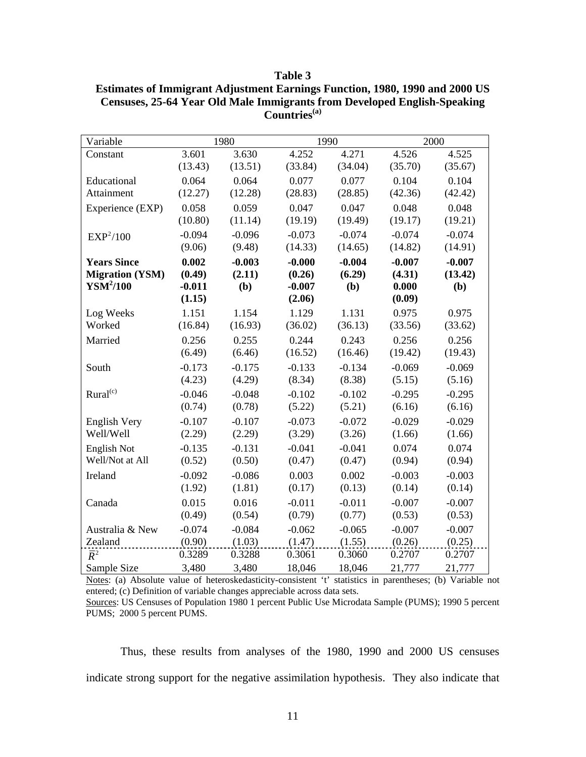|  | ١<br>Г<br>H<br>., |  |
|--|-------------------|--|
|--|-------------------|--|

| <b>Estimates of Immigrant Adjustment Earnings Function, 1980, 1990 and 2000 US</b> |
|------------------------------------------------------------------------------------|
| <b>Censuses, 25-64 Year Old Male Immigrants from Developed English-Speaking</b>    |
| Countries <sup>(a)</sup>                                                           |

| Variable               |          | 1980     |          | 1990     |          | 2000     |
|------------------------|----------|----------|----------|----------|----------|----------|
| Constant               | 3.601    | 3.630    | 4.252    | 4.271    | 4.526    | 4.525    |
|                        | (13.43)  | (13.51)  | (33.84)  | (34.04)  | (35.70)  | (35.67)  |
| Educational            | 0.064    | 0.064    | 0.077    | 0.077    | 0.104    | 0.104    |
| Attainment             | (12.27)  | (12.28)  | (28.83)  | (28.85)  | (42.36)  | (42.42)  |
| Experience (EXP)       | 0.058    | 0.059    | 0.047    | 0.047    | 0.048    | 0.048    |
|                        | (10.80)  | (11.14)  | (19.19)  | (19.49)  | (19.17)  | (19.21)  |
| EXP <sup>2</sup> /100  | $-0.094$ | $-0.096$ | $-0.073$ | $-0.074$ | $-0.074$ | $-0.074$ |
|                        | (9.06)   | (9.48)   | (14.33)  | (14.65)  | (14.82)  | (14.91)  |
| <b>Years Since</b>     | 0.002    | $-0.003$ | $-0.000$ | $-0.004$ | $-0.007$ | $-0.007$ |
| <b>Migration (YSM)</b> | (0.49)   | (2.11)   | (0.26)   | (6.29)   | (4.31)   | (13.42)  |
| YSM <sup>2</sup> /100  | $-0.011$ | (b)      | $-0.007$ | (b)      | 0.000    | (b)      |
|                        | (1.15)   |          | (2.06)   |          | (0.09)   |          |
| Log Weeks              | 1.151    | 1.154    | 1.129    | 1.131    | 0.975    | 0.975    |
| Worked                 | (16.84)  | (16.93)  | (36.02)  | (36.13)  | (33.56)  | (33.62)  |
| Married                | 0.256    | 0.255    | 0.244    | 0.243    | 0.256    | 0.256    |
|                        | (6.49)   | (6.46)   | (16.52)  | (16.46)  | (19.42)  | (19.43)  |
| South                  | $-0.173$ | $-0.175$ | $-0.133$ | $-0.134$ | $-0.069$ | $-0.069$ |
|                        | (4.23)   | (4.29)   | (8.34)   | (8.38)   | (5.15)   | (5.16)   |
| Rural <sup>(c)</sup>   | $-0.046$ | $-0.048$ | $-0.102$ | $-0.102$ | $-0.295$ | $-0.295$ |
|                        | (0.74)   | (0.78)   | (5.22)   | (5.21)   | (6.16)   | (6.16)   |
| <b>English Very</b>    | $-0.107$ | $-0.107$ | $-0.073$ | $-0.072$ | $-0.029$ | $-0.029$ |
| Well/Well              | (2.29)   | (2.29)   | (3.29)   | (3.26)   | (1.66)   | (1.66)   |
| English Not            | $-0.135$ | $-0.131$ | $-0.041$ | $-0.041$ | 0.074    | 0.074    |
| Well/Not at All        | (0.52)   | (0.50)   | (0.47)   | (0.47)   | (0.94)   | (0.94)   |
| Ireland                | $-0.092$ | $-0.086$ | 0.003    | 0.002    | $-0.003$ | $-0.003$ |
|                        | (1.92)   | (1.81)   | (0.17)   | (0.13)   | (0.14)   | (0.14)   |
| Canada                 | 0.015    | 0.016    | $-0.011$ | $-0.011$ | $-0.007$ | $-0.007$ |
|                        | (0.49)   | (0.54)   | (0.79)   | (0.77)   | (0.53)   | (0.53)   |
| Australia & New        | $-0.074$ | $-0.084$ | $-0.062$ | $-0.065$ | $-0.007$ | $-0.007$ |
| Zealand                | (0.90)   | (1.03)   | (1.47)   | (1.55)   | (0.26)   | (0.25)   |
| $\overline{R}^2$       | 0.3289   | 0.3288   | 0.3061   | 0.3060   | 0.2707   | 0.2707   |
| Sample Size            | 3,480    | 3,480    | 18,046   | 18,046   | 21,777   | 21,777   |

Notes: (a) Absolute value of heteroskedasticity-consistent 't' statistics in parentheses; (b) Variable not entered; (c) Definition of variable changes appreciable across data sets.

Thus, these results from analyses of the 1980, 1990 and 2000 US censuses indicate strong support for the negative assimilation hypothesis. They also indicate that

Sources: US Censuses of Population 1980 1 percent Public Use Microdata Sample (PUMS); 1990 5 percent PUMS; 2000 5 percent PUMS.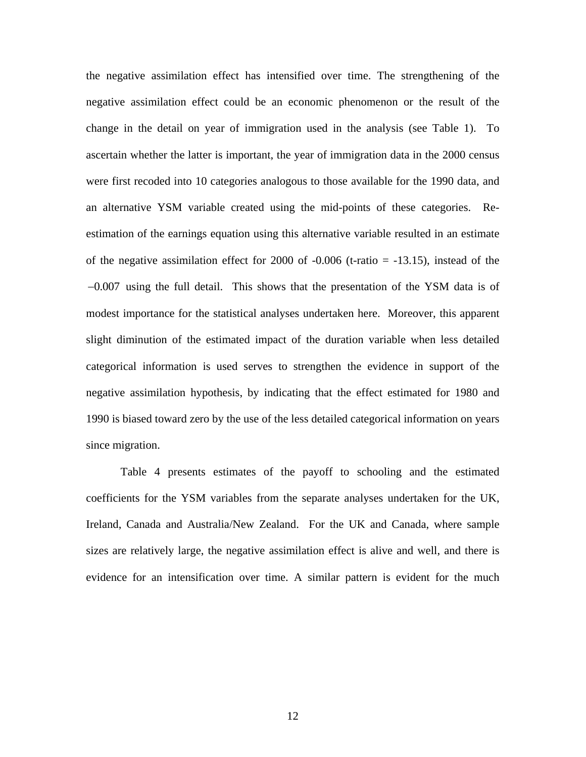the negative assimilation effect has intensified over time. The strengthening of the negative assimilation effect could be an economic phenomenon or the result of the change in the detail on year of immigration used in the analysis (see Table 1). To ascertain whether the latter is important, the year of immigration data in the 2000 census were first recoded into 10 categories analogous to those available for the 1990 data, and an alternative YSM variable created using the mid-points of these categories. Reestimation of the earnings equation using this alternative variable resulted in an estimate of the negative assimilation effect for 2000 of  $-0.006$  (t-ratio =  $-13.15$ ), instead of the -0.007 using the full detail. This shows that the presentation of the YSM data is of modest importance for the statistical analyses undertaken here. Moreover, this apparent slight diminution of the estimated impact of the duration variable when less detailed categorical information is used serves to strengthen the evidence in support of the negative assimilation hypothesis, by indicating that the effect estimated for 1980 and 1990 is biased toward zero by the use of the less detailed categorical information on years since migration.

Table 4 presents estimates of the payoff to schooling and the estimated coefficients for the YSM variables from the separate analyses undertaken for the UK, Ireland, Canada and Australia/New Zealand. For the UK and Canada, where sample sizes are relatively large, the negative assimilation effect is alive and well, and there is evidence for an intensification over time. A similar pattern is evident for the much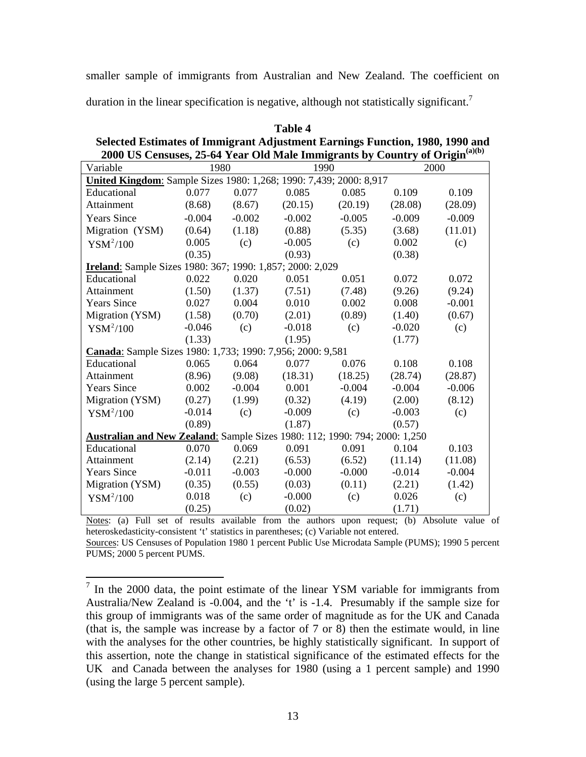smaller sample of immigrants from Australian and New Zealand. The coefficient on

duration in the linear specification is negative, although not statistically significant.<sup>7</sup>

| Selected Estimates of Immigrant Adjustment Earnings Function, 1980, 1990 and            |                                                                    |          |          |          |          |          |
|-----------------------------------------------------------------------------------------|--------------------------------------------------------------------|----------|----------|----------|----------|----------|
| 2000 US Censuses, 25-64 Year Old Male Immigrants by Country of Origin <sup>(a)(b)</sup> |                                                                    |          |          |          |          |          |
| Variable                                                                                | 1980                                                               |          | 1990     |          |          | 2000     |
|                                                                                         | United Kingdom: Sample Sizes 1980: 1,268; 1990: 7,439; 2000: 8,917 |          |          |          |          |          |
| Educational                                                                             | 0.077                                                              | 0.077    | 0.085    | 0.085    | 0.109    | 0.109    |
| Attainment                                                                              | (8.68)                                                             | (8.67)   | (20.15)  | (20.19)  | (28.08)  | (28.09)  |
| <b>Years Since</b>                                                                      | $-0.004$                                                           | $-0.002$ | $-0.002$ | $-0.005$ | $-0.009$ | $-0.009$ |
| Migration (YSM)                                                                         | (0.64)                                                             | (1.18)   | (0.88)   | (5.35)   | (3.68)   | (11.01)  |
| $YSM^2/100$                                                                             | 0.005                                                              | (c)      | $-0.005$ | (c)      | 0.002    | (c)      |
|                                                                                         | (0.35)                                                             |          | (0.93)   |          | (0.38)   |          |
| Ireland: Sample Sizes 1980: 367; 1990: 1,857; 2000: 2,029                               |                                                                    |          |          |          |          |          |
| Educational                                                                             | 0.022                                                              | 0.020    | 0.051    | 0.051    | 0.072    | 0.072    |
| Attainment                                                                              | (1.50)                                                             | (1.37)   | (7.51)   | (7.48)   | (9.26)   | (9.24)   |
| <b>Years Since</b>                                                                      | 0.027                                                              | 0.004    | 0.010    | 0.002    | 0.008    | $-0.001$ |
| Migration (YSM)                                                                         | (1.58)                                                             | (0.70)   | (2.01)   | (0.89)   | (1.40)   | (0.67)   |
| $YSM^2/100$                                                                             | $-0.046$                                                           | (c)      | $-0.018$ | (c)      | $-0.020$ | (c)      |
|                                                                                         | (1.33)                                                             |          | (1.95)   |          | (1.77)   |          |
| Canada: Sample Sizes 1980: 1,733; 1990: 7,956; 2000: 9,581                              |                                                                    |          |          |          |          |          |
| Educational                                                                             | 0.065                                                              | 0.064    | 0.077    | 0.076    | 0.108    | 0.108    |
| Attainment                                                                              | (8.96)                                                             | (9.08)   | (18.31)  | (18.25)  | (28.74)  | (28.87)  |
| <b>Years Since</b>                                                                      | 0.002                                                              | $-0.004$ | 0.001    | $-0.004$ | $-0.004$ | $-0.006$ |
| Migration (YSM)                                                                         | (0.27)                                                             | (1.99)   | (0.32)   | (4.19)   | (2.00)   | (8.12)   |
| $YSM^2/100$                                                                             | $-0.014$                                                           | (c)      | $-0.009$ | (c)      | $-0.003$ | (c)      |
|                                                                                         | (0.89)                                                             |          | (1.87)   |          | (0.57)   |          |
| Australian and New Zealand: Sample Sizes 1980: 112; 1990: 794; 2000: 1,250              |                                                                    |          |          |          |          |          |
| Educational                                                                             | 0.070                                                              | 0.069    | 0.091    | 0.091    | 0.104    | 0.103    |
| Attainment                                                                              | (2.14)                                                             | (2.21)   | (6.53)   | (6.52)   | (11.14)  | (11.08)  |
| <b>Years Since</b>                                                                      | $-0.011$                                                           | $-0.003$ | $-0.000$ | $-0.000$ | $-0.014$ | $-0.004$ |
| Migration (YSM)                                                                         | (0.35)                                                             | (0.55)   | (0.03)   | (0.11)   | (2.21)   | (1.42)   |
| $YSM^2/100$                                                                             | 0.018                                                              | (c)      | $-0.000$ | (c)      | 0.026    | (c)      |
|                                                                                         | (0.25)                                                             |          | (0.02)   |          | (1.71)   |          |

**Table 4 Selected Estimates of Immigrant Adjustment Earnings Function, 1980, 1990 and** 

Notes: (a) Full set of results available from the authors upon request; (b) Absolute value of heteroskedasticity-consistent 't' statistics in parentheses; (c) Variable not entered.

Sources: US Censuses of Population 1980 1 percent Public Use Microdata Sample (PUMS); 1990 5 percent PUMS; 2000 5 percent PUMS.

<span id="page-13-0"></span><sup>&</sup>lt;sup>7</sup> In the 2000 data, the point estimate of the linear YSM variable for immigrants from Australia/New Zealand is -0.004, and the 't' is -1.4. Presumably if the sample size for this group of immigrants was of the same order of magnitude as for the UK and Canada (that is, the sample was increase by a factor of 7 or 8) then the estimate would, in line with the analyses for the other countries, be highly statistically significant. In support of this assertion, note the change in statistical significance of the estimated effects for the UK and Canada between the analyses for 1980 (using a 1 percent sample) and 1990 (using the large 5 percent sample).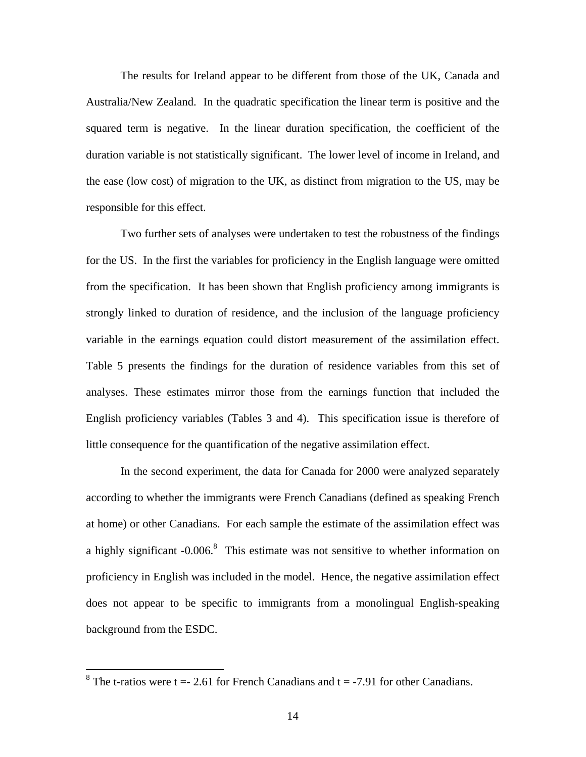The results for Ireland appear to be different from those of the UK, Canada and Australia/New Zealand. In the quadratic specification the linear term is positive and the squared term is negative. In the linear duration specification, the coefficient of the duration variable is not statistically significant. The lower level of income in Ireland, and the ease (low cost) of migration to the UK, as distinct from migration to the US, may be responsible for this effect.

Two further sets of analyses were undertaken to test the robustness of the findings for the US. In the first the variables for proficiency in the English language were omitted from the specification. It has been shown that English proficiency among immigrants is strongly linked to duration of residence, and the inclusion of the language proficiency variable in the earnings equation could distort measurement of the assimilation effect. Table 5 presents the findings for the duration of residence variables from this set of analyses. These estimates mirror those from the earnings function that included the English proficiency variables (Tables 3 and 4). This specification issue is therefore of little consequence for the quantification of the negative assimilation effect.

In the second experiment, the data for Canada for 2000 were analyzed separately according to whether the immigrants were French Canadians (defined as speaking French at home) or other Canadians. For each sample the estimate of the assimilation effect was a highly significant  $-0.006$ .<sup>8</sup> This estimate was not sensitive to whether information on proficiency in English was included in the model. Hence, the negative assimilation effect does not appear to be specific to immigrants from a monolingual English-speaking background from the ESDC.

<span id="page-14-0"></span><sup>&</sup>lt;sup>8</sup> The t-ratios were  $t = -2.61$  for French Canadians and  $t = -7.91$  for other Canadians.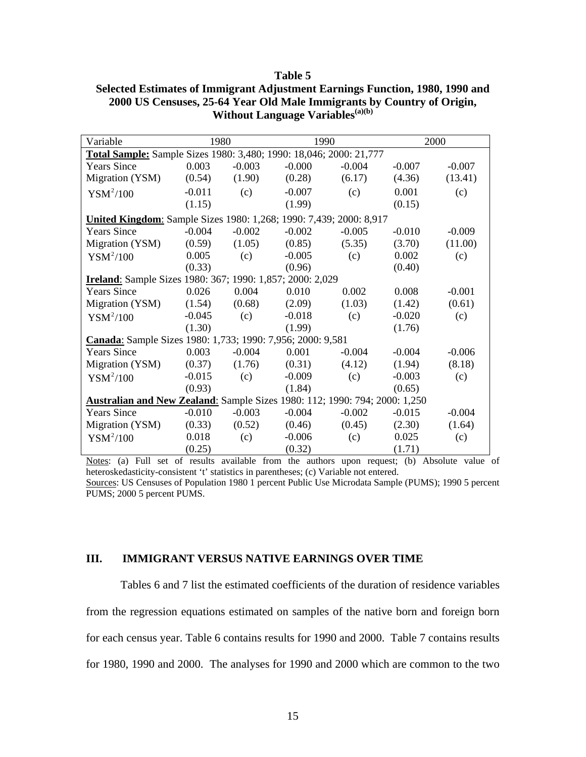| n<br>١<br>L<br>т. |  |
|-------------------|--|
|-------------------|--|

| Variable                                                                   | 1980     |          | 1990     |          |          | 2000     |
|----------------------------------------------------------------------------|----------|----------|----------|----------|----------|----------|
| Total Sample: Sample Sizes 1980: 3,480; 1990: 18,046; 2000: 21,777         |          |          |          |          |          |          |
| <b>Years Since</b>                                                         | 0.003    | $-0.003$ | $-0.000$ | $-0.004$ | $-0.007$ | $-0.007$ |
| Migration (YSM)                                                            | (0.54)   | (1.90)   | (0.28)   | (6.17)   | (4.36)   | (13.41)  |
| $YSM^2/100$                                                                | $-0.011$ | (c)      | $-0.007$ | (c)      | 0.001    | (c)      |
|                                                                            | (1.15)   |          | (1.99)   |          | (0.15)   |          |
| United Kingdom: Sample Sizes 1980: 1,268; 1990: 7,439; 2000: 8,917         |          |          |          |          |          |          |
| <b>Years Since</b>                                                         | $-0.004$ | $-0.002$ | $-0.002$ | $-0.005$ | $-0.010$ | $-0.009$ |
| Migration (YSM)                                                            | (0.59)   | (1.05)   | (0.85)   | (5.35)   | (3.70)   | (11.00)  |
| $YSM^2/100$                                                                | 0.005    | (c)      | $-0.005$ | (c)      | 0.002    | (c)      |
|                                                                            | (0.33)   |          | (0.96)   |          | (0.40)   |          |
| Ireland: Sample Sizes 1980: 367; 1990: 1,857; 2000: 2,029                  |          |          |          |          |          |          |
| <b>Years Since</b>                                                         | 0.026    | 0.004    | 0.010    | 0.002    | 0.008    | $-0.001$ |
| Migration (YSM)                                                            | (1.54)   | (0.68)   | (2.09)   | (1.03)   | (1.42)   | (0.61)   |
| $YSM^2/100$                                                                | $-0.045$ | (c)      | $-0.018$ | (c)      | $-0.020$ | (c)      |
|                                                                            | (1.30)   |          | (1.99)   |          | (1.76)   |          |
| Canada: Sample Sizes 1980: 1,733; 1990: 7,956; 2000: 9,581                 |          |          |          |          |          |          |
| <b>Years Since</b>                                                         | 0.003    | $-0.004$ | 0.001    | $-0.004$ | $-0.004$ | $-0.006$ |
| Migration (YSM)                                                            | (0.37)   | (1.76)   | (0.31)   | (4.12)   | (1.94)   | (8.18)   |
| $YSM^2/100$                                                                | $-0.015$ | (c)      | $-0.009$ | (c)      | $-0.003$ | (c)      |
|                                                                            | (0.93)   |          | (1.84)   |          | (0.65)   |          |
| Australian and New Zealand: Sample Sizes 1980: 112; 1990: 794; 2000: 1,250 |          |          |          |          |          |          |
| <b>Years Since</b>                                                         | $-0.010$ | $-0.003$ | $-0.004$ | $-0.002$ | $-0.015$ | $-0.004$ |
| Migration (YSM)                                                            | (0.33)   | (0.52)   | (0.46)   | (0.45)   | (2.30)   | (1.64)   |
| $YSM^2/100$                                                                | 0.018    | (c)      | $-0.006$ | (c)      | 0.025    | (c)      |
|                                                                            | (0.25)   |          | (0.32)   |          | (1.71)   |          |

**Selected Estimates of Immigrant Adjustment Earnings Function, 1980, 1990 and 2000 US Censuses, 25-64 Year Old Male Immigrants by Country of Origin,**  Without Language Variables<sup>(a)(b)</sup>

Notes: (a) Full set of results available from the authors upon request; (b) Absolute value of heteroskedasticity-consistent 't' statistics in parentheses; (c) Variable not entered. Sources: US Censuses of Population 1980 1 percent Public Use Microdata Sample (PUMS); 1990 5 percent PUMS; 2000 5 percent PUMS.

## **III. IMMIGRANT VERSUS NATIVE EARNINGS OVER TIME**

Tables 6 and 7 list the estimated coefficients of the duration of residence variables from the regression equations estimated on samples of the native born and foreign born for each census year. Table 6 contains results for 1990 and 2000. Table 7 contains results for 1980, 1990 and 2000. The analyses for 1990 and 2000 which are common to the two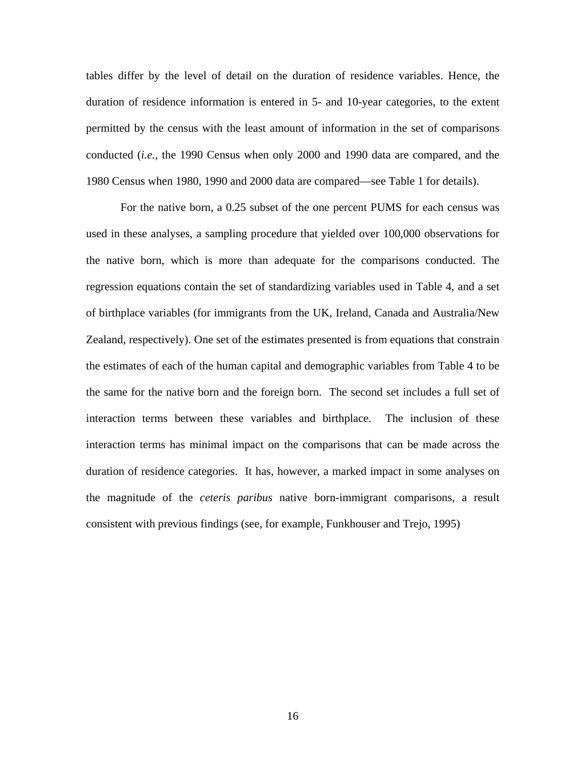tables differ by the level of detail on the duration of residence variables. Hence, the duration of residence information is entered in 5- and 10-year categories, to the extent permitted by the census with the least amount of information in the set of comparisons conducted (*i.e.*, the 1990 Census when only 2000 and 1990 data are compared, and the 1980 Census when 1980, 1990 and 2000 data are compared—see Table 1 for details).

For the native born, a 0.25 subset of the one percent PUMS for each census was used in these analyses, a sampling procedure that yielded over 100,000 observations for the native born, which is more than adequate for the comparisons conducted. The regression equations contain the set of standardizing variables used in Table 4, and a set of birthplace variables (for immigrants from the UK, Ireland, Canada and Australia/New Zealand, respectively). One set of the estimates presented is from equations that constrain the estimates of each of the human capital and demographic variables from Table 4 to be the same for the native born and the foreign born. The second set includes a full set of interaction terms between these variables and birthplace. The inclusion of these interaction terms has minimal impact on the comparisons that can be made across the duration of residence categories. It has, however, a marked impact in some analyses on the magnitude of the *ceteris paribus* native born-immigrant comparisons, a result consistent with previous findings (see, for example, Funkhouser and Trejo, 1995)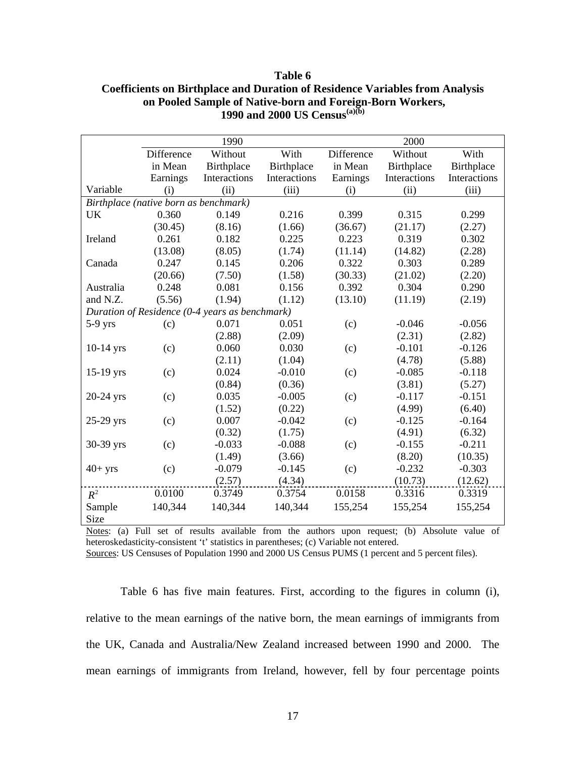|             |                                       | 1990                                           |              |            | 2000         |              |
|-------------|---------------------------------------|------------------------------------------------|--------------|------------|--------------|--------------|
|             | Difference                            | Without                                        | With         | Difference | Without      | With         |
|             | in Mean                               | Birthplace                                     | Birthplace   | in Mean    | Birthplace   | Birthplace   |
|             | Earnings                              | Interactions                                   | Interactions | Earnings   | Interactions | Interactions |
| Variable    | (i)                                   | (ii)                                           | (iii)        | (i)        | (ii)         | (iii)        |
|             | Birthplace (native born as benchmark) |                                                |              |            |              |              |
| UK          | 0.360                                 | 0.149                                          | 0.216        | 0.399      | 0.315        | 0.299        |
|             | (30.45)                               | (8.16)                                         | (1.66)       | (36.67)    | (21.17)      | (2.27)       |
| Ireland     | 0.261                                 | 0.182                                          | 0.225        | 0.223      | 0.319        | 0.302        |
|             | (13.08)                               | (8.05)                                         | (1.74)       | (11.14)    | (14.82)      | (2.28)       |
| Canada      | 0.247                                 | 0.145                                          | 0.206        | 0.322      | 0.303        | 0.289        |
|             | (20.66)                               | (7.50)                                         | (1.58)       | (30.33)    | (21.02)      | (2.20)       |
| Australia   | 0.248                                 | 0.081                                          | 0.156        | 0.392      | 0.304        | 0.290        |
| and N.Z.    | (5.56)                                | (1.94)                                         | (1.12)       | (13.10)    | (11.19)      | (2.19)       |
|             |                                       | Duration of Residence (0-4 years as benchmark) |              |            |              |              |
| $5-9$ yrs   | (c)                                   | 0.071                                          | 0.051        | (c)        | $-0.046$     | $-0.056$     |
|             |                                       | (2.88)                                         | (2.09)       |            | (2.31)       | (2.82)       |
| $10-14$ yrs | (c)                                   | 0.060                                          | 0.030        | (c)        | $-0.101$     | $-0.126$     |
|             |                                       | (2.11)                                         | (1.04)       |            | (4.78)       | (5.88)       |
| $15-19$ yrs | (c)                                   | 0.024                                          | $-0.010$     | (c)        | $-0.085$     | $-0.118$     |
|             |                                       | (0.84)                                         | (0.36)       |            | (3.81)       | (5.27)       |
| 20-24 yrs   | (c)                                   | 0.035                                          | $-0.005$     | (c)        | $-0.117$     | $-0.151$     |
|             |                                       | (1.52)                                         | (0.22)       |            | (4.99)       | (6.40)       |
| 25-29 yrs   | (c)                                   | 0.007                                          | $-0.042$     | (c)        | $-0.125$     | $-0.164$     |
|             |                                       | (0.32)                                         | (1.75)       |            | (4.91)       | (6.32)       |
| 30-39 yrs   | (c)                                   | $-0.033$                                       | $-0.088$     | (c)        | $-0.155$     | $-0.211$     |
|             |                                       | (1.49)                                         | (3.66)       |            | (8.20)       | (10.35)      |
| $40+$ yrs   | (c)                                   | $-0.079$                                       | $-0.145$     | (c)        | $-0.232$     | $-0.303$     |
|             |                                       | (2.57)                                         | (4.34)       |            | (10.73)      | (12.62)      |
| $R^2$       | 0.0100                                | 0.3749                                         | 0.3754       | 0.0158     | 0.3316       | 0.3319       |
| Sample      | 140,344                               | 140,344                                        | 140,344      | 155,254    | 155,254      | 155,254      |
| Size        |                                       |                                                |              |            |              |              |

## **Table 6 Coefficients on Birthplace and Duration of Residence Variables from Analysis on Pooled Sample of Native-born and Foreign-Born Workers, 1990 and 2000 US Census(a)(b)**

Notes: (a) Full set of results available from the authors upon request; (b) Absolute value of heteroskedasticity-consistent 't' statistics in parentheses; (c) Variable not entered.

Sources: US Censuses of Population 1990 and 2000 US Census PUMS (1 percent and 5 percent files).

Table 6 has five main features. First, according to the figures in column (i), relative to the mean earnings of the native born, the mean earnings of immigrants from the UK, Canada and Australia/New Zealand increased between 1990 and 2000. The mean earnings of immigrants from Ireland, however, fell by four percentage points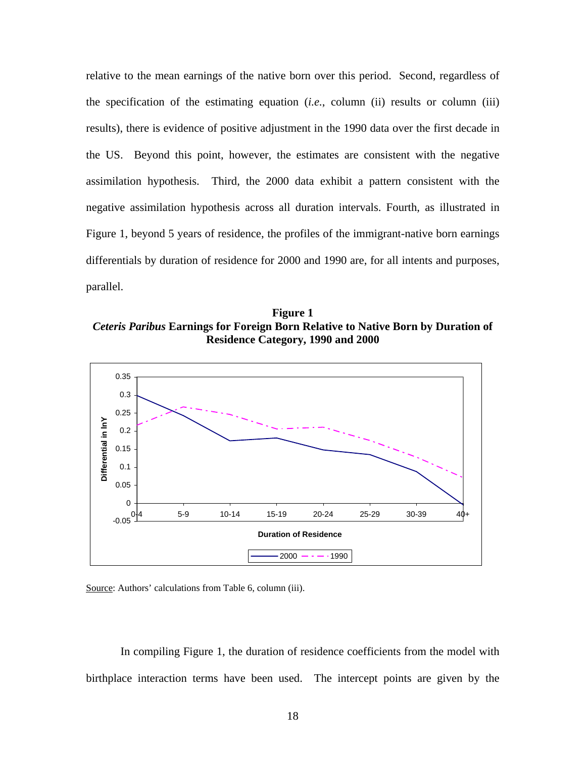relative to the mean earnings of the native born over this period. Second, regardless of the specification of the estimating equation (*i.e.*, column (ii) results or column (iii) results), there is evidence of positive adjustment in the 1990 data over the first decade in the US. Beyond this point, however, the estimates are consistent with the negative assimilation hypothesis. Third, the 2000 data exhibit a pattern consistent with the negative assimilation hypothesis across all duration intervals. Fourth, as illustrated in Figure 1, beyond 5 years of residence, the profiles of the immigrant-native born earnings differentials by duration of residence for 2000 and 1990 are, for all intents and purposes, parallel.

**Figure 1**  *Ceteris Paribus* **Earnings for Foreign Born Relative to Native Born by Duration of Residence Category, 1990 and 2000** 





In compiling Figure 1, the duration of residence coefficients from the model with birthplace interaction terms have been used. The intercept points are given by the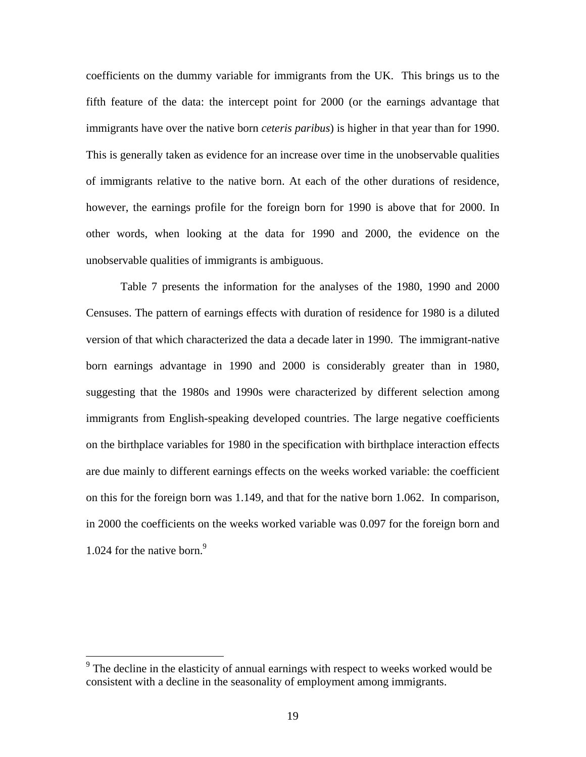coefficients on the dummy variable for immigrants from the UK. This brings us to the fifth feature of the data: the intercept point for 2000 (or the earnings advantage that immigrants have over the native born *ceteris paribus*) is higher in that year than for 1990. This is generally taken as evidence for an increase over time in the unobservable qualities of immigrants relative to the native born. At each of the other durations of residence, however, the earnings profile for the foreign born for 1990 is above that for 2000. In other words, when looking at the data for 1990 and 2000, the evidence on the unobservable qualities of immigrants is ambiguous.

Table 7 presents the information for the analyses of the 1980, 1990 and 2000 Censuses. The pattern of earnings effects with duration of residence for 1980 is a diluted version of that which characterized the data a decade later in 1990. The immigrant-native born earnings advantage in 1990 and 2000 is considerably greater than in 1980, suggesting that the 1980s and 1990s were characterized by different selection among immigrants from English-speaking developed countries. The large negative coefficients on the birthplace variables for 1980 in the specification with birthplace interaction effects are due mainly to different earnings effects on the weeks worked variable: the coefficient on this for the foreign born was 1.149, and that for the native born 1.062. In comparison, in 2000 the coefficients on the weeks worked variable was 0.097 for the foreign born and 1.024 for the native born.<sup>9</sup>

 $\overline{a}$ 

<span id="page-19-0"></span> $9<sup>9</sup>$  The decline in the elasticity of annual earnings with respect to weeks worked would be consistent with a decline in the seasonality of employment among immigrants.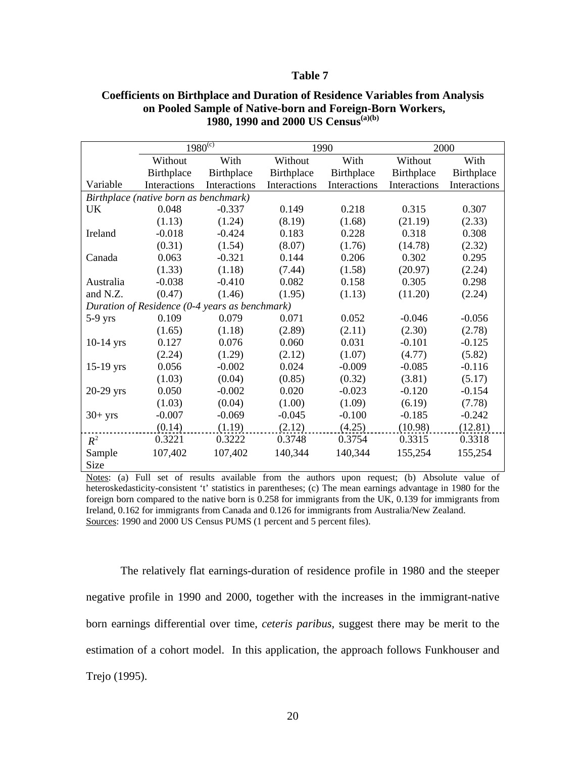#### **Table 7**

|             |                                                | $1980^{(c)}$ |              | 1990         |              | 2000         |
|-------------|------------------------------------------------|--------------|--------------|--------------|--------------|--------------|
|             | Without                                        | With         | Without      | With         | Without      | With         |
|             | Birthplace                                     | Birthplace   | Birthplace   | Birthplace   | Birthplace   | Birthplace   |
| Variable    | Interactions                                   | Interactions | Interactions | Interactions | Interactions | Interactions |
|             | Birthplace (native born as benchmark)          |              |              |              |              |              |
| UK          | 0.048                                          | $-0.337$     | 0.149        | 0.218        | 0.315        | 0.307        |
|             | (1.13)                                         | (1.24)       | (8.19)       | (1.68)       | (21.19)      | (2.33)       |
| Ireland     | $-0.018$                                       | $-0.424$     | 0.183        | 0.228        | 0.318        | 0.308        |
|             | (0.31)                                         | (1.54)       | (8.07)       | (1.76)       | (14.78)      | (2.32)       |
| Canada      | 0.063                                          | $-0.321$     | 0.144        | 0.206        | 0.302        | 0.295        |
|             | (1.33)                                         | (1.18)       | (7.44)       | (1.58)       | (20.97)      | (2.24)       |
| Australia   | $-0.038$                                       | $-0.410$     | 0.082        | 0.158        | 0.305        | 0.298        |
| and N.Z.    | (0.47)                                         | (1.46)       | (1.95)       | (1.13)       | (11.20)      | (2.24)       |
|             | Duration of Residence (0-4 years as benchmark) |              |              |              |              |              |
| $5-9$ yrs   | 0.109                                          | 0.079        | 0.071        | 0.052        | $-0.046$     | $-0.056$     |
|             | (1.65)                                         | (1.18)       | (2.89)       | (2.11)       | (2.30)       | (2.78)       |
| $10-14$ yrs | 0.127                                          | 0.076        | 0.060        | 0.031        | $-0.101$     | $-0.125$     |
|             | (2.24)                                         | (1.29)       | (2.12)       | (1.07)       | (4.77)       | (5.82)       |
| $15-19$ yrs | 0.056                                          | $-0.002$     | 0.024        | $-0.009$     | $-0.085$     | $-0.116$     |
|             | (1.03)                                         | (0.04)       | (0.85)       | (0.32)       | (3.81)       | (5.17)       |
| $20-29$ yrs | 0.050                                          | $-0.002$     | 0.020        | $-0.023$     | $-0.120$     | $-0.154$     |
|             | (1.03)                                         | (0.04)       | (1.00)       | (1.09)       | (6.19)       | (7.78)       |
| $30+ yrs$   | $-0.007$                                       | $-0.069$     | $-0.045$     | $-0.100$     | $-0.185$     | $-0.242$     |
|             | (0.14)                                         | (1.19)       | (2.12)       | (4.25)       | (10.98)      | (12.81)      |
| $R^2$       | 0.3221                                         | 0.3222       | 0.3748       | 0.3754       | 0.3315       | 0.3318       |
| Sample      | 107,402                                        | 107,402      | 140,344      | 140,344      | 155,254      | 155,254      |
| Size        |                                                |              |              |              |              |              |

### **Coefficients on Birthplace and Duration of Residence Variables from Analysis on Pooled Sample of Native-born and Foreign-Born Workers, 1980, 1990 and 2000 US Census(a)(b)**

Notes: (a) Full set of results available from the authors upon request; (b) Absolute value of heteroskedasticity-consistent 't' statistics in parentheses; (c) The mean earnings advantage in 1980 for the foreign born compared to the native born is 0.258 for immigrants from the UK, 0.139 for immigrants from Ireland, 0.162 for immigrants from Canada and 0.126 for immigrants from Australia/New Zealand. Sources: 1990 and 2000 US Census PUMS (1 percent and 5 percent files).

The relatively flat earnings-duration of residence profile in 1980 and the steeper negative profile in 1990 and 2000, together with the increases in the immigrant-native born earnings differential over time, *ceteris paribus,* suggest there may be merit to the estimation of a cohort model. In this application, the approach follows Funkhouser and Trejo (1995).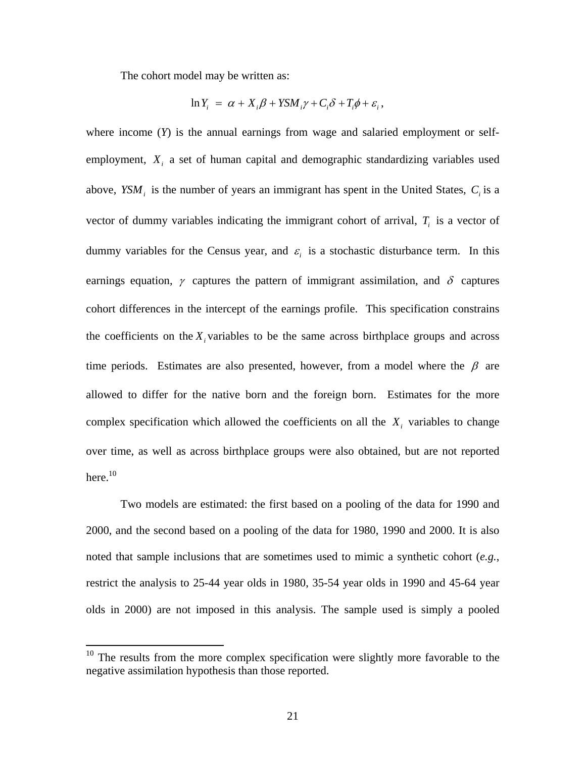The cohort model may be written as:

$$
\ln Y_i = \alpha + X_i \beta + Y S M_i \gamma + C_i \delta + T_i \phi + \varepsilon_i,
$$

where income (*Y*) is the annual earnings from wage and salaried employment or selfemployment,  $X_i$  a set of human capital and demographic standardizing variables used above,  $YSM_i$  is the number of years an immigrant has spent in the United States,  $C_i$  is a vector of dummy variables indicating the immigrant cohort of arrival,  $T<sub>i</sub>$  is a vector of dummy variables for the Census year, and  $\varepsilon_i$  is a stochastic disturbance term. In this earnings equation,  $\gamma$  captures the pattern of immigrant assimilation, and  $\delta$  captures cohort differences in the intercept of the earnings profile. This specification constrains the coefficients on the  $X_i$  variables to be the same across birthplace groups and across time periods. Estimates are also presented, however, from a model where the  $\beta$  are allowed to differ for the native born and the foreign born. Estimates for the more complex specification which allowed the coefficients on all the  $X_i$  variables to change over time, as well as across birthplace groups were also obtained, but are not reported here.<sup>10</sup>

Two models are estimated: the first based on a pooling of the data for 1990 and 2000, and the second based on a pooling of the data for 1980, 1990 and 2000. It is also noted that sample inclusions that are sometimes used to mimic a synthetic cohort (*e.g.*, restrict the analysis to 25-44 year olds in 1980, 35-54 year olds in 1990 and 45-64 year olds in 2000) are not imposed in this analysis. The sample used is simply a pooled

 $\overline{a}$ 

<span id="page-21-0"></span> $10$  The results from the more complex specification were slightly more favorable to the negative assimilation hypothesis than those reported.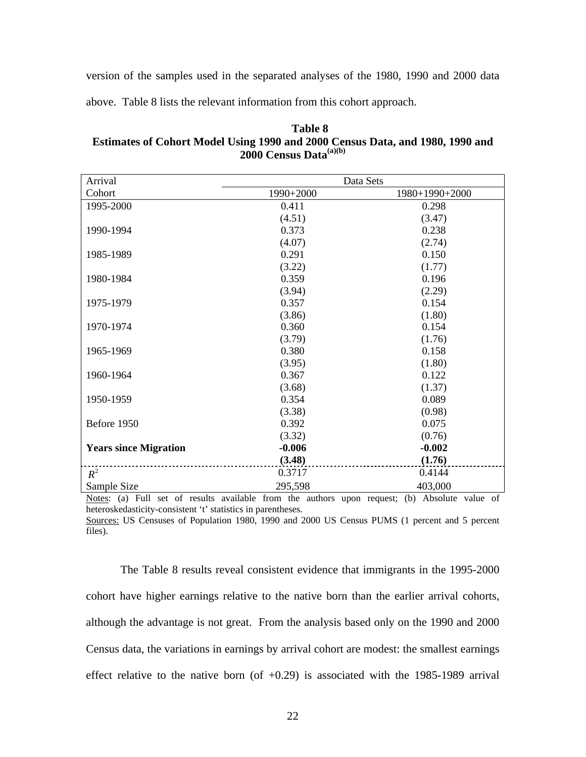version of the samples used in the separated analyses of the 1980, 1990 and 2000 data

above. Table 8 lists the relevant information from this cohort approach.

**Table 8 Estimates of Cohort Model Using 1990 and 2000 Census Data, and 1980, 1990 and 2000 Census Data(a)(b)** 

| Arrival                      |           | Data Sets      |
|------------------------------|-----------|----------------|
| Cohort                       | 1990+2000 | 1980+1990+2000 |
| 1995-2000                    | 0.411     | 0.298          |
|                              | (4.51)    | (3.47)         |
| 1990-1994                    | 0.373     | 0.238          |
|                              | (4.07)    | (2.74)         |
| 1985-1989                    | 0.291     | 0.150          |
|                              | (3.22)    | (1.77)         |
| 1980-1984                    | 0.359     | 0.196          |
|                              | (3.94)    | (2.29)         |
| 1975-1979                    | 0.357     | 0.154          |
|                              | (3.86)    | (1.80)         |
| 1970-1974                    | 0.360     | 0.154          |
|                              | (3.79)    | (1.76)         |
| 1965-1969                    | 0.380     | 0.158          |
|                              | (3.95)    | (1.80)         |
| 1960-1964                    | 0.367     | 0.122          |
|                              | (3.68)    | (1.37)         |
| 1950-1959                    | 0.354     | 0.089          |
|                              | (3.38)    | (0.98)         |
| Before 1950                  | 0.392     | 0.075          |
|                              | (3.32)    | (0.76)         |
| <b>Years since Migration</b> | $-0.006$  | $-0.002$       |
|                              | (3.48)    | (1.76)         |
| $R^2$                        | 0.3717    | 0.4144         |
| Sample Size                  | 295,598   | 403,000        |

Notes: (a) Full set of results available from the authors upon request; (b) Absolute value of heteroskedasticity-consistent 't' statistics in parentheses.

Sources: US Censuses of Population 1980, 1990 and 2000 US Census PUMS (1 percent and 5 percent files).

The Table 8 results reveal consistent evidence that immigrants in the 1995-2000 cohort have higher earnings relative to the native born than the earlier arrival cohorts, although the advantage is not great. From the analysis based only on the 1990 and 2000 Census data, the variations in earnings by arrival cohort are modest: the smallest earnings effect relative to the native born (of  $+0.29$ ) is associated with the 1985-1989 arrival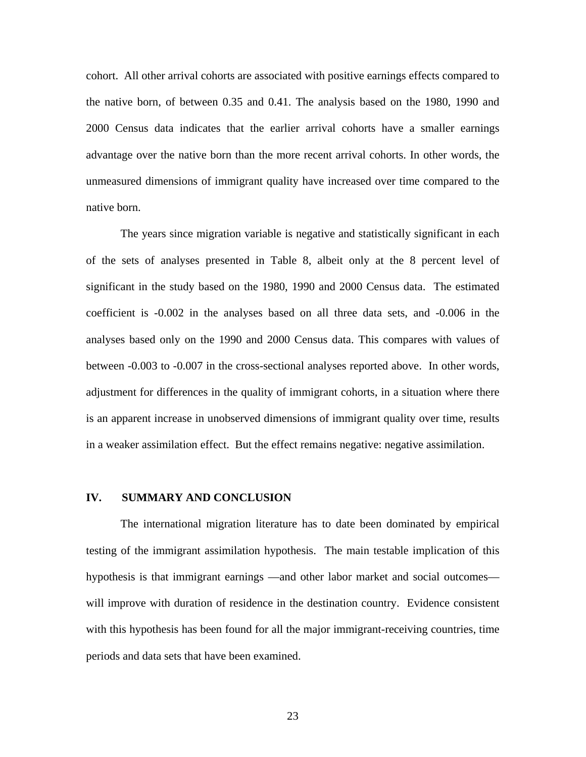cohort. All other arrival cohorts are associated with positive earnings effects compared to the native born, of between 0.35 and 0.41. The analysis based on the 1980, 1990 and 2000 Census data indicates that the earlier arrival cohorts have a smaller earnings advantage over the native born than the more recent arrival cohorts. In other words, the unmeasured dimensions of immigrant quality have increased over time compared to the native born.

The years since migration variable is negative and statistically significant in each of the sets of analyses presented in Table 8, albeit only at the 8 percent level of significant in the study based on the 1980, 1990 and 2000 Census data. The estimated coefficient is -0.002 in the analyses based on all three data sets, and -0.006 in the analyses based only on the 1990 and 2000 Census data. This compares with values of between -0.003 to -0.007 in the cross-sectional analyses reported above. In other words, adjustment for differences in the quality of immigrant cohorts, in a situation where there is an apparent increase in unobserved dimensions of immigrant quality over time, results in a weaker assimilation effect. But the effect remains negative: negative assimilation.

#### **IV. SUMMARY AND CONCLUSION**

The international migration literature has to date been dominated by empirical testing of the immigrant assimilation hypothesis. The main testable implication of this hypothesis is that immigrant earnings —and other labor market and social outcomes will improve with duration of residence in the destination country. Evidence consistent with this hypothesis has been found for all the major immigrant-receiving countries, time periods and data sets that have been examined.

23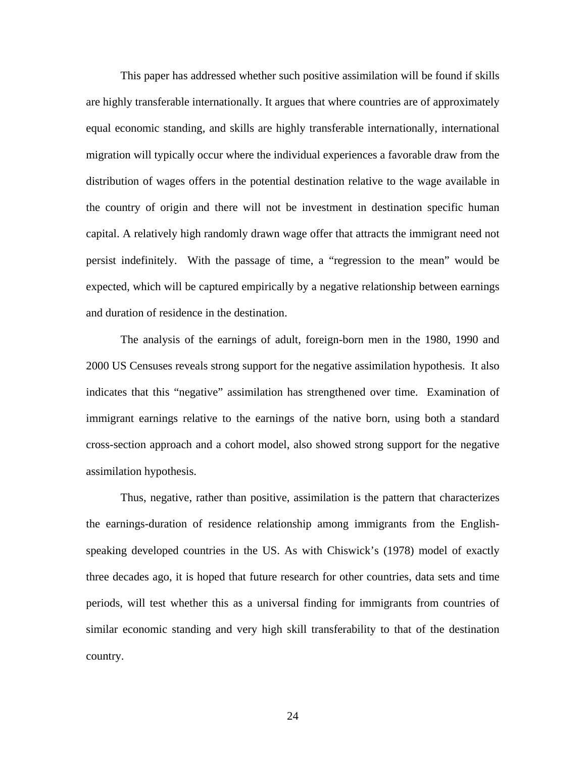This paper has addressed whether such positive assimilation will be found if skills are highly transferable internationally. It argues that where countries are of approximately equal economic standing, and skills are highly transferable internationally, international migration will typically occur where the individual experiences a favorable draw from the distribution of wages offers in the potential destination relative to the wage available in the country of origin and there will not be investment in destination specific human capital. A relatively high randomly drawn wage offer that attracts the immigrant need not persist indefinitely. With the passage of time, a "regression to the mean" would be expected, which will be captured empirically by a negative relationship between earnings and duration of residence in the destination.

The analysis of the earnings of adult, foreign-born men in the 1980, 1990 and 2000 US Censuses reveals strong support for the negative assimilation hypothesis. It also indicates that this "negative" assimilation has strengthened over time. Examination of immigrant earnings relative to the earnings of the native born, using both a standard cross-section approach and a cohort model, also showed strong support for the negative assimilation hypothesis.

Thus, negative, rather than positive, assimilation is the pattern that characterizes the earnings-duration of residence relationship among immigrants from the Englishspeaking developed countries in the US. As with Chiswick's (1978) model of exactly three decades ago, it is hoped that future research for other countries, data sets and time periods, will test whether this as a universal finding for immigrants from countries of similar economic standing and very high skill transferability to that of the destination country.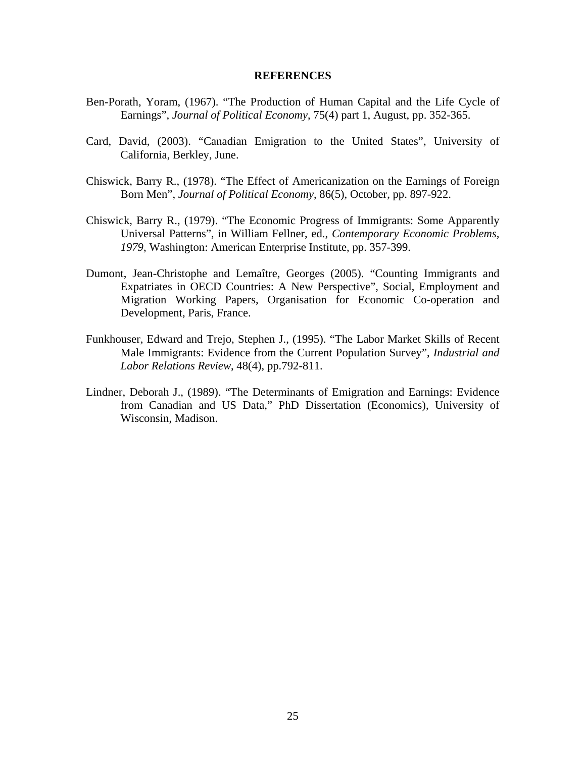#### **REFERENCES**

- Ben-Porath, Yoram, (1967). "The Production of Human Capital and the Life Cycle of Earnings", *Journal of Political Economy*, 75(4) part 1, August, pp. 352-365.
- Card, David, (2003). "Canadian Emigration to the United States", University of California, Berkley, June.
- Chiswick, Barry R., (1978). "The Effect of Americanization on the Earnings of Foreign Born Men", *Journal of Political Economy*, 86(5), October, pp. 897-922.
- Chiswick, Barry R., (1979). "The Economic Progress of Immigrants: Some Apparently Universal Patterns", in William Fellner, ed., *Contemporary Economic Problems, 1979*, Washington: American Enterprise Institute, pp. 357-399.
- Dumont, Jean-Christophe and Lemaître, Georges (2005). "Counting Immigrants and Expatriates in OECD Countries: A New Perspective", Social, Employment and Migration Working Papers, Organisation for Economic Co-operation and Development, Paris, France.
- Funkhouser, Edward and Trejo, Stephen J., (1995). "The Labor Market Skills of Recent Male Immigrants: Evidence from the Current Population Survey", *Industrial and Labor Relations Review*, 48(4), pp.792-811.
- Lindner, Deborah J., (1989). "The Determinants of Emigration and Earnings: Evidence from Canadian and US Data," PhD Dissertation (Economics), University of Wisconsin, Madison.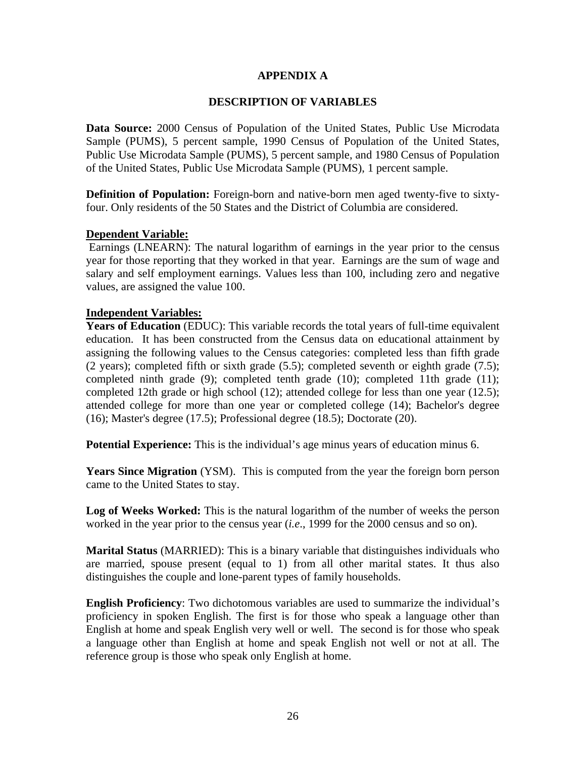## **APPENDIX A**

## **DESCRIPTION OF VARIABLES**

**Data Source:** 2000 Census of Population of the United States, Public Use Microdata Sample (PUMS), 5 percent sample, 1990 Census of Population of the United States, Public Use Microdata Sample (PUMS), 5 percent sample, and 1980 Census of Population of the United States, Public Use Microdata Sample (PUMS), 1 percent sample.

**Definition of Population:** Foreign-born and native-born men aged twenty-five to sixtyfour. Only residents of the 50 States and the District of Columbia are considered.

## **Dependent Variable:**

 Earnings (LNEARN): The natural logarithm of earnings in the year prior to the census year for those reporting that they worked in that year. Earnings are the sum of wage and salary and self employment earnings. Values less than 100, including zero and negative values, are assigned the value 100.

## **Independent Variables:**

**Years of Education** (EDUC): This variable records the total years of full-time equivalent education. It has been constructed from the Census data on educational attainment by assigning the following values to the Census categories: completed less than fifth grade (2 years); completed fifth or sixth grade (5.5); completed seventh or eighth grade (7.5); completed ninth grade (9); completed tenth grade (10); completed 11th grade (11); completed 12th grade or high school (12); attended college for less than one year (12.5); attended college for more than one year or completed college (14); Bachelor's degree (16); Master's degree (17.5); Professional degree (18.5); Doctorate (20).

**Potential Experience:** This is the individual's age minus years of education minus 6.

**Years Since Migration** (YSM). This is computed from the year the foreign born person came to the United States to stay.

Log of Weeks Worked: This is the natural logarithm of the number of weeks the person worked in the year prior to the census year (*i.e*., 1999 for the 2000 census and so on).

**Marital Status** (MARRIED): This is a binary variable that distinguishes individuals who are married, spouse present (equal to 1) from all other marital states. It thus also distinguishes the couple and lone-parent types of family households.

**English Proficiency**: Two dichotomous variables are used to summarize the individual's proficiency in spoken English. The first is for those who speak a language other than English at home and speak English very well or well. The second is for those who speak a language other than English at home and speak English not well or not at all. The reference group is those who speak only English at home.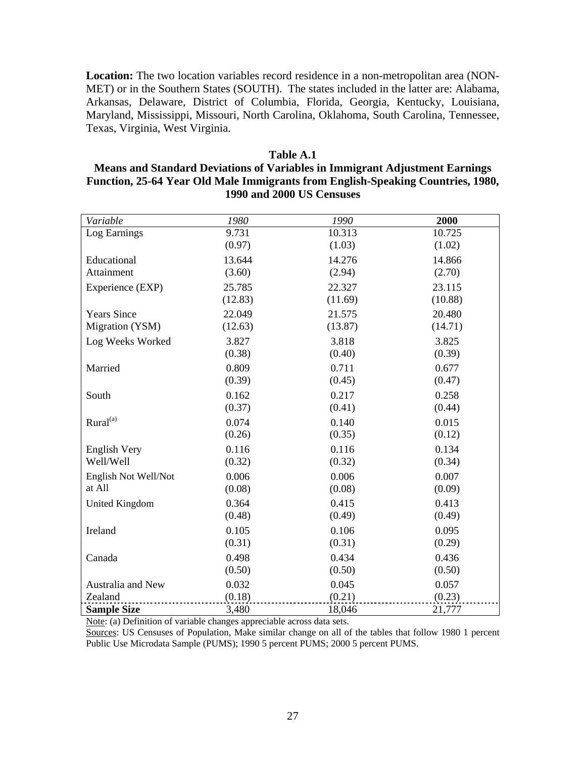**Location:** The two location variables record residence in a non-metropolitan area (NON-MET) or in the Southern States (SOUTH). The states included in the latter are: Alabama, Arkansas, Delaware, District of Columbia, Florida, Georgia, Kentucky, Louisiana, Maryland, Mississippi, Missouri, North Carolina, Oklahoma, South Carolina, Tennessee, Texas, Virginia, West Virginia.

# **Table A.1**

## **Means and Standard Deviations of Variables in Immigrant Adjustment Earnings Function, 25-64 Year Old Male Immigrants from English-Speaking Countries, 1980, 1990 and 2000 US Censuses**

| Variable             | 1980    | 1990    | 2000    |
|----------------------|---------|---------|---------|
| Log Earnings         | 9.731   | 10.313  | 10.725  |
|                      | (0.97)  | (1.03)  | (1.02)  |
| Educational          | 13.644  | 14.276  | 14.866  |
| Attainment           | (3.60)  | (2.94)  | (2.70)  |
| Experience (EXP)     | 25.785  | 22.327  | 23.115  |
|                      | (12.83) | (11.69) | (10.88) |
| <b>Years Since</b>   | 22.049  | 21.575  | 20.480  |
| Migration (YSM)      | (12.63) | (13.87) | (14.71) |
| Log Weeks Worked     | 3.827   | 3.818   | 3.825   |
|                      | (0.38)  | (0.40)  | (0.39)  |
| Married              | 0.809   | 0.711   | 0.677   |
|                      | (0.39)  | (0.45)  | (0.47)  |
| South                | 0.162   | 0.217   | 0.258   |
|                      | (0.37)  | (0.41)  | (0.44)  |
| Rural <sup>(a)</sup> | 0.074   | 0.140   | 0.015   |
|                      | (0.26)  | (0.35)  | (0.12)  |
| English Very         | 0.116   | 0.116   | 0.134   |
| Well/Well            | (0.32)  | (0.32)  | (0.34)  |
| English Not Well/Not | 0.006   | 0.006   | 0.007   |
| at All               | (0.08)  | (0.08)  | (0.09)  |
| United Kingdom       | 0.364   | 0.415   | 0.413   |
|                      | (0.48)  | (0.49)  | (0.49)  |
| Ireland              | 0.105   | 0.106   | 0.095   |
|                      | (0.31)  | (0.31)  | (0.29)  |
| Canada               | 0.498   | 0.434   | 0.436   |
|                      | (0.50)  | (0.50)  | (0.50)  |
| Australia and New    | 0.032   | 0.045   | 0.057   |
| Zealand              | (0.18)  | (0.21)  | (0.23)  |
| <b>Sample Size</b>   | 3,480   | 18,046  | 21,777  |

Note: (a) Definition of variable changes appreciable across data sets.

Sources: US Censuses of Population, Make similar change on all of the tables that follow 1980 1 percent Public Use Microdata Sample (PUMS); 1990 5 percent PUMS; 2000 5 percent PUMS.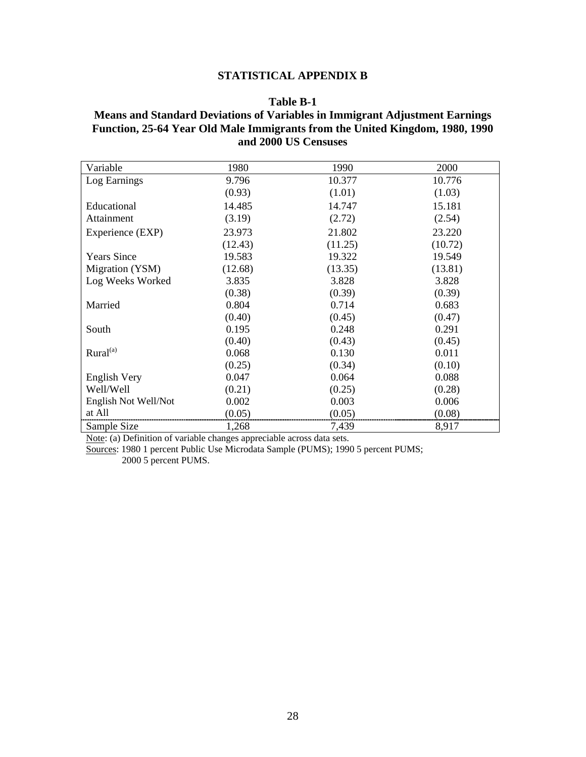## **STATISTICAL APPENDIX B**

#### **Table B-1**

# **Means and Standard Deviations of Variables in Immigrant Adjustment Earnings Function, 25-64 Year Old Male Immigrants from the United Kingdom, 1980, 1990 and 2000 US Censuses**

| Variable             | 1980    | 1990    | 2000    |
|----------------------|---------|---------|---------|
| Log Earnings         | 9.796   | 10.377  | 10.776  |
|                      | (0.93)  | (1.01)  | (1.03)  |
| Educational          | 14.485  | 14.747  | 15.181  |
| Attainment           | (3.19)  | (2.72)  | (2.54)  |
| Experience (EXP)     | 23.973  | 21.802  | 23.220  |
|                      | (12.43) | (11.25) | (10.72) |
| <b>Years Since</b>   | 19.583  | 19.322  | 19.549  |
| Migration (YSM)      | (12.68) | (13.35) | (13.81) |
| Log Weeks Worked     | 3.835   | 3.828   | 3.828   |
|                      | (0.38)  | (0.39)  | (0.39)  |
| Married              | 0.804   | 0.714   | 0.683   |
|                      | (0.40)  | (0.45)  | (0.47)  |
| South                | 0.195   | 0.248   | 0.291   |
|                      | (0.40)  | (0.43)  | (0.45)  |
| Rural <sup>(a)</sup> | 0.068   | 0.130   | 0.011   |
|                      | (0.25)  | (0.34)  | (0.10)  |
| English Very         | 0.047   | 0.064   | 0.088   |
| Well/Well            | (0.21)  | (0.25)  | (0.28)  |
| English Not Well/Not | 0.002   | 0.003   | 0.006   |
| at All               | (0.05)  | (0.05)  | (0.08)  |
| Sample Size          | 1,268   | 7,439   | 8,917   |

Note: (a) Definition of variable changes appreciable across data sets.

Sources: 1980 1 percent Public Use Microdata Sample (PUMS); 1990 5 percent PUMS; 2000 5 percent PUMS.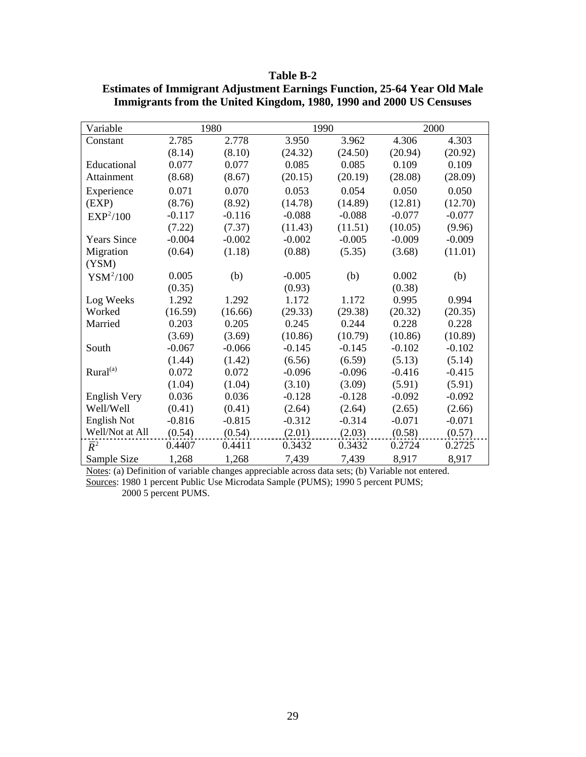| 'able- |  |
|--------|--|
|--------|--|

| Variable              |          | 1980     | 1990     |          |          | 2000     |
|-----------------------|----------|----------|----------|----------|----------|----------|
| Constant              | 2.785    | 2.778    | 3.950    | 3.962    | 4.306    | 4.303    |
|                       | (8.14)   | (8.10)   | (24.32)  | (24.50)  | (20.94)  | (20.92)  |
| Educational           | 0.077    | 0.077    | 0.085    | 0.085    | 0.109    | 0.109    |
| Attainment            | (8.68)   | (8.67)   | (20.15)  | (20.19)  | (28.08)  | (28.09)  |
| Experience            | 0.071    | 0.070    | 0.053    | 0.054    | 0.050    | 0.050    |
| (EXP)                 | (8.76)   | (8.92)   | (14.78)  | (14.89)  | (12.81)  | (12.70)  |
| EXP <sup>2</sup> /100 | $-0.117$ | $-0.116$ | $-0.088$ | $-0.088$ | $-0.077$ | $-0.077$ |
|                       | (7.22)   | (7.37)   | (11.43)  | (11.51)  | (10.05)  | (9.96)   |
| <b>Years Since</b>    | $-0.004$ | $-0.002$ | $-0.002$ | $-0.005$ | $-0.009$ | $-0.009$ |
| Migration             | (0.64)   | (1.18)   | (0.88)   | (5.35)   | (3.68)   | (11.01)  |
| (YSM)                 |          |          |          |          |          |          |
| $YSM^2/100$           | 0.005    | (b)      | $-0.005$ | (b)      | 0.002    | (b)      |
|                       | (0.35)   |          | (0.93)   |          | (0.38)   |          |
| Log Weeks             | 1.292    | 1.292    | 1.172    | 1.172    | 0.995    | 0.994    |
| Worked                | (16.59)  | (16.66)  | (29.33)  | (29.38)  | (20.32)  | (20.35)  |
| Married               | 0.203    | 0.205    | 0.245    | 0.244    | 0.228    | 0.228    |
|                       | (3.69)   | (3.69)   | (10.86)  | (10.79)  | (10.86)  | (10.89)  |
| South                 | $-0.067$ | $-0.066$ | $-0.145$ | $-0.145$ | $-0.102$ | $-0.102$ |
|                       | (1.44)   | (1.42)   | (6.56)   | (6.59)   | (5.13)   | (5.14)   |
| Rural <sup>(a)</sup>  | 0.072    | 0.072    | $-0.096$ | $-0.096$ | $-0.416$ | $-0.415$ |
|                       | (1.04)   | (1.04)   | (3.10)   | (3.09)   | (5.91)   | (5.91)   |
| English Very          | 0.036    | 0.036    | $-0.128$ | $-0.128$ | $-0.092$ | $-0.092$ |
| Well/Well             | (0.41)   | (0.41)   | (2.64)   | (2.64)   | (2.65)   | (2.66)   |
| English Not           | $-0.816$ | $-0.815$ | $-0.312$ | $-0.314$ | $-0.071$ | $-0.071$ |
| Well/Not at All       | (0.54)   | (0.54)   | (2.01)   | (2.03)   | (0.58)   | (0.57)   |
| $\overline{R}^2$      | 0.4407   | 0.4411   | 0.3432   | 0.3432   | 0.2724   | 0.2725   |
| Sample Size           | 1,268    | 1,268    | 7,439    | 7,439    | 8,917    | 8,917    |

**Estimates of Immigrant Adjustment Earnings Function, 25-64 Year Old Male Immigrants from the United Kingdom, 1980, 1990 and 2000 US Censuses** 

Notes: (a) Definition of variable changes appreciable across data sets; (b) Variable not entered. Sources: 1980 1 percent Public Use Microdata Sample (PUMS); 1990 5 percent PUMS; 2000 5 percent PUMS.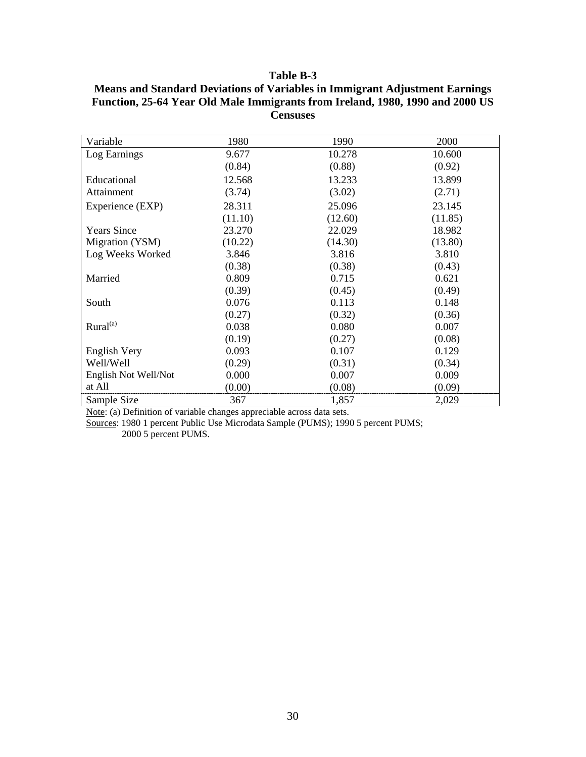| Variable             | 1980    | 1990    | 2000    |
|----------------------|---------|---------|---------|
| Log Earnings         | 9.677   | 10.278  | 10.600  |
|                      | (0.84)  | (0.88)  | (0.92)  |
| Educational          | 12.568  | 13.233  | 13.899  |
| Attainment           | (3.74)  | (3.02)  | (2.71)  |
| Experience (EXP)     | 28.311  | 25.096  | 23.145  |
|                      | (11.10) | (12.60) | (11.85) |
| <b>Years Since</b>   | 23.270  | 22.029  | 18.982  |
| Migration (YSM)      | (10.22) | (14.30) | (13.80) |
| Log Weeks Worked     | 3.846   | 3.816   | 3.810   |
|                      | (0.38)  | (0.38)  | (0.43)  |
| Married              | 0.809   | 0.715   | 0.621   |
|                      | (0.39)  | (0.45)  | (0.49)  |
| South                | 0.076   | 0.113   | 0.148   |
|                      | (0.27)  | (0.32)  | (0.36)  |
| Rural <sup>(a)</sup> | 0.038   | 0.080   | 0.007   |
|                      | (0.19)  | (0.27)  | (0.08)  |
| English Very         | 0.093   | 0.107   | 0.129   |
| Well/Well            | (0.29)  | (0.31)  | (0.34)  |
| English Not Well/Not | 0.000   | 0.007   | 0.009   |
| at All               | (0.00)  | (0.08)  | (0.09)  |
| Sample Size          | 367     | 1,857   | 2,029   |

**Means and Standard Deviations of Variables in Immigrant Adjustment Earnings Function, 25-64 Year Old Male Immigrants from Ireland, 1980, 1990 and 2000 US Censuses** 

Note: (a) Definition of variable changes appreciable across data sets.

Sources: 1980 1 percent Public Use Microdata Sample (PUMS); 1990 5 percent PUMS;

2000 5 percent PUMS.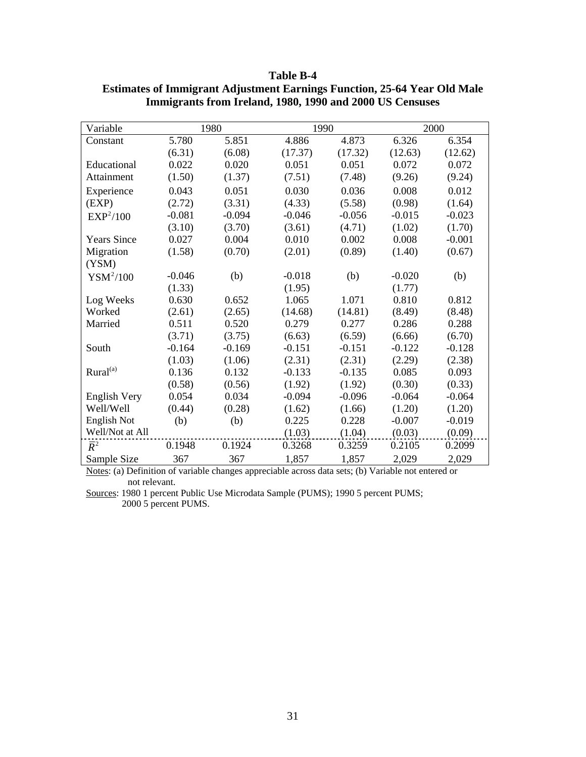| Variable              |          | 1980     | 1990     |          |          | 2000     |
|-----------------------|----------|----------|----------|----------|----------|----------|
| Constant              | 5.780    | 5.851    | 4.886    | 4.873    | 6.326    | 6.354    |
|                       | (6.31)   | (6.08)   | (17.37)  | (17.32)  | (12.63)  | (12.62)  |
| Educational           | 0.022    | 0.020    | 0.051    | 0.051    | 0.072    | 0.072    |
| Attainment            | (1.50)   | (1.37)   | (7.51)   | (7.48)   | (9.26)   | (9.24)   |
| Experience            | 0.043    | 0.051    | 0.030    | 0.036    | 0.008    | 0.012    |
| (EXP)                 | (2.72)   | (3.31)   | (4.33)   | (5.58)   | (0.98)   | (1.64)   |
| EXP <sup>2</sup> /100 | $-0.081$ | $-0.094$ | $-0.046$ | $-0.056$ | $-0.015$ | $-0.023$ |
|                       | (3.10)   | (3.70)   | (3.61)   | (4.71)   | (1.02)   | (1.70)   |
| <b>Years Since</b>    | 0.027    | 0.004    | 0.010    | 0.002    | 0.008    | $-0.001$ |
| Migration             | (1.58)   | (0.70)   | (2.01)   | (0.89)   | (1.40)   | (0.67)   |
| (YSM)                 |          |          |          |          |          |          |
| $YSM^2/100$           | $-0.046$ | (b)      | $-0.018$ | (b)      | $-0.020$ | (b)      |
|                       | (1.33)   |          | (1.95)   |          | (1.77)   |          |
| Log Weeks             | 0.630    | 0.652    | 1.065    | 1.071    | 0.810    | 0.812    |
| Worked                | (2.61)   | (2.65)   | (14.68)  | (14.81)  | (8.49)   | (8.48)   |
| Married               | 0.511    | 0.520    | 0.279    | 0.277    | 0.286    | 0.288    |
|                       | (3.71)   | (3.75)   | (6.63)   | (6.59)   | (6.66)   | (6.70)   |
| South                 | $-0.164$ | $-0.169$ | $-0.151$ | $-0.151$ | $-0.122$ | $-0.128$ |
|                       | (1.03)   | (1.06)   | (2.31)   | (2.31)   | (2.29)   | (2.38)   |
| Rural <sup>(a)</sup>  | 0.136    | 0.132    | $-0.133$ | $-0.135$ | 0.085    | 0.093    |
|                       | (0.58)   | (0.56)   | (1.92)   | (1.92)   | (0.30)   | (0.33)   |
| <b>English Very</b>   | 0.054    | 0.034    | $-0.094$ | $-0.096$ | $-0.064$ | $-0.064$ |
| Well/Well             | (0.44)   | (0.28)   | (1.62)   | (1.66)   | (1.20)   | (1.20)   |
| <b>English Not</b>    | (b)      | (b)      | 0.225    | 0.228    | $-0.007$ | $-0.019$ |
| Well/Not at All       |          |          | (1.03)   | (1.04)   | (0.03)   | (0.09)   |
| $\overline{R}^2$      | 0.1948   | 0.1924   | 0.3268   | 0.3259   | 0.2105   | 0.2099   |
| Sample Size           | 367      | 367      | 1,857    | 1,857    | 2,029    | 2,029    |

**Table B-4 Estimates of Immigrant Adjustment Earnings Function, 25-64 Year Old Male Immigrants from Ireland, 1980, 1990 and 2000 US Censuses** 

Notes: (a) Definition of variable changes appreciable across data sets; (b) Variable not entered or not relevant.

Sources: 1980 1 percent Public Use Microdata Sample (PUMS); 1990 5 percent PUMS; 2000 5 percent PUMS.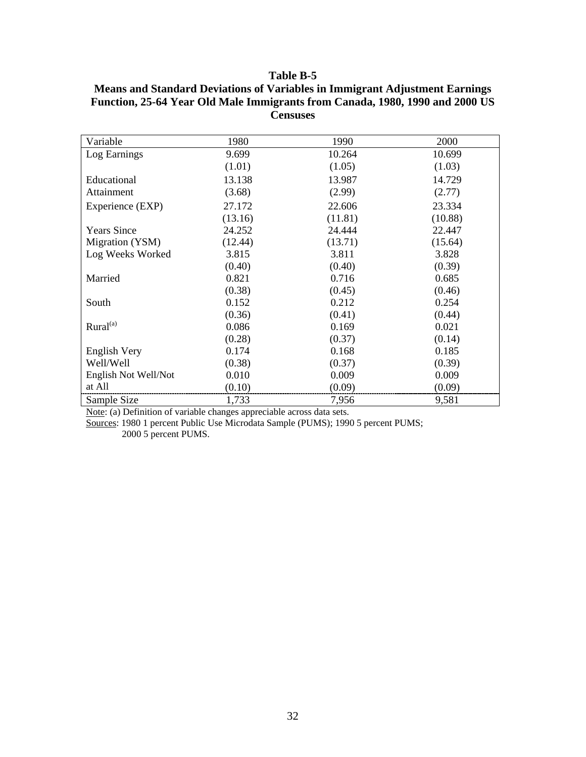| Variable             | 1980    | 1990    | 2000    |
|----------------------|---------|---------|---------|
| Log Earnings         | 9.699   | 10.264  | 10.699  |
|                      | (1.01)  | (1.05)  | (1.03)  |
| Educational          | 13.138  | 13.987  | 14.729  |
| Attainment           | (3.68)  | (2.99)  | (2.77)  |
| Experience (EXP)     | 27.172  | 22.606  | 23.334  |
|                      | (13.16) | (11.81) | (10.88) |
| <b>Years Since</b>   | 24.252  | 24.444  | 22.447  |
| Migration (YSM)      | (12.44) | (13.71) | (15.64) |
| Log Weeks Worked     | 3.815   | 3.811   | 3.828   |
|                      | (0.40)  | (0.40)  | (0.39)  |
| Married              | 0.821   | 0.716   | 0.685   |
|                      | (0.38)  | (0.45)  | (0.46)  |
| South                | 0.152   | 0.212   | 0.254   |
|                      | (0.36)  | (0.41)  | (0.44)  |
| Rural <sup>(a)</sup> | 0.086   | 0.169   | 0.021   |
|                      | (0.28)  | (0.37)  | (0.14)  |
| English Very         | 0.174   | 0.168   | 0.185   |
| Well/Well            | (0.38)  | (0.37)  | (0.39)  |
| English Not Well/Not | 0.010   | 0.009   | 0.009   |
| at All               | (0.10)  | (0.09)  | (0.09)  |
| Sample Size          | 1,733   | 7,956   | 9,581   |

**Means and Standard Deviations of Variables in Immigrant Adjustment Earnings Function, 25-64 Year Old Male Immigrants from Canada, 1980, 1990 and 2000 US Censuses** 

Note: (a) Definition of variable changes appreciable across data sets.

Sources: 1980 1 percent Public Use Microdata Sample (PUMS); 1990 5 percent PUMS;

2000 5 percent PUMS.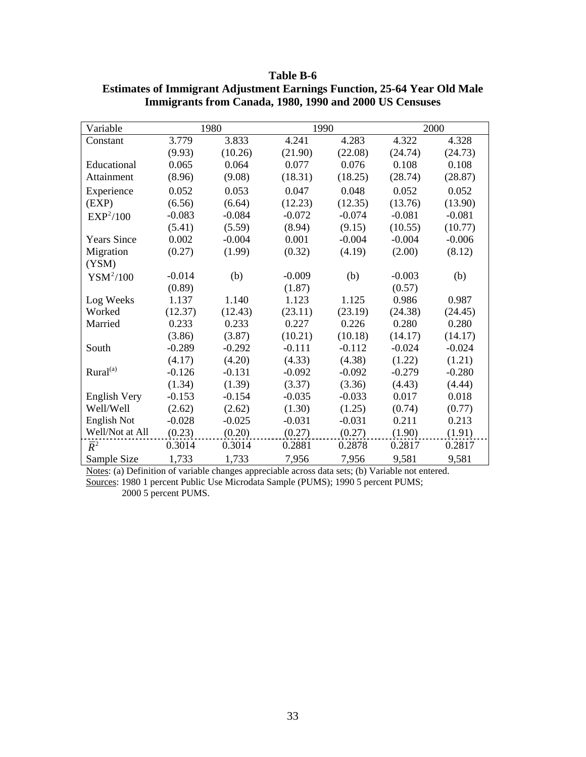| Variable              |          | 1980     | 1990     |          |          | 2000     |
|-----------------------|----------|----------|----------|----------|----------|----------|
| Constant              | 3.779    | 3.833    | 4.241    | 4.283    | 4.322    | 4.328    |
|                       | (9.93)   | (10.26)  | (21.90)  | (22.08)  | (24.74)  | (24.73)  |
| Educational           | 0.065    | 0.064    | 0.077    | 0.076    | 0.108    | 0.108    |
| Attainment            | (8.96)   | (9.08)   | (18.31)  | (18.25)  | (28.74)  | (28.87)  |
| Experience            | 0.052    | 0.053    | 0.047    | 0.048    | 0.052    | 0.052    |
| (EXP)                 | (6.56)   | (6.64)   | (12.23)  | (12.35)  | (13.76)  | (13.90)  |
| EXP <sup>2</sup> /100 | $-0.083$ | $-0.084$ | $-0.072$ | $-0.074$ | $-0.081$ | $-0.081$ |
|                       | (5.41)   | (5.59)   | (8.94)   | (9.15)   | (10.55)  | (10.77)  |
| <b>Years Since</b>    | 0.002    | $-0.004$ | 0.001    | $-0.004$ | $-0.004$ | $-0.006$ |
| Migration             | (0.27)   | (1.99)   | (0.32)   | (4.19)   | (2.00)   | (8.12)   |
| (YSM)                 |          |          |          |          |          |          |
| $YSM^2/100$           | $-0.014$ | (b)      | $-0.009$ | (b)      | $-0.003$ | (b)      |
|                       | (0.89)   |          | (1.87)   |          | (0.57)   |          |
| Log Weeks             | 1.137    | 1.140    | 1.123    | 1.125    | 0.986    | 0.987    |
| Worked                | (12.37)  | (12.43)  | (23.11)  | (23.19)  | (24.38)  | (24.45)  |
| Married               | 0.233    | 0.233    | 0.227    | 0.226    | 0.280    | 0.280    |
|                       | (3.86)   | (3.87)   | (10.21)  | (10.18)  | (14.17)  | (14.17)  |
| South                 | $-0.289$ | $-0.292$ | $-0.111$ | $-0.112$ | $-0.024$ | $-0.024$ |
|                       | (4.17)   | (4.20)   | (4.33)   | (4.38)   | (1.22)   | (1.21)   |
| Rural <sup>(a)</sup>  | $-0.126$ | $-0.131$ | $-0.092$ | $-0.092$ | $-0.279$ | $-0.280$ |
|                       | (1.34)   | (1.39)   | (3.37)   | (3.36)   | (4.43)   | (4.44)   |
| <b>English Very</b>   | $-0.153$ | $-0.154$ | $-0.035$ | $-0.033$ | 0.017    | 0.018    |
| Well/Well             | (2.62)   | (2.62)   | (1.30)   | (1.25)   | (0.74)   | (0.77)   |
| <b>English Not</b>    | $-0.028$ | $-0.025$ | $-0.031$ | $-0.031$ | 0.211    | 0.213    |
| Well/Not at All       | (0.23)   | (0.20)   | (0.27)   | (0.27)   | (1.90)   | (1.91)   |
| $\overline{R}^2$      | 0.3014   | 0.3014   | 0.2881   | 0.2878   | 0.2817   | 0.2817   |
| Sample Size           | 1,733    | 1,733    | 7,956    | 7,956    | 9,581    | 9,581    |

**Table B-6 Estimates of Immigrant Adjustment Earnings Function, 25-64 Year Old Male Immigrants from Canada, 1980, 1990 and 2000 US Censuses** 

Notes: (a) Definition of variable changes appreciable across data sets; (b) Variable not entered. Sources: 1980 1 percent Public Use Microdata Sample (PUMS); 1990 5 percent PUMS; 2000 5 percent PUMS.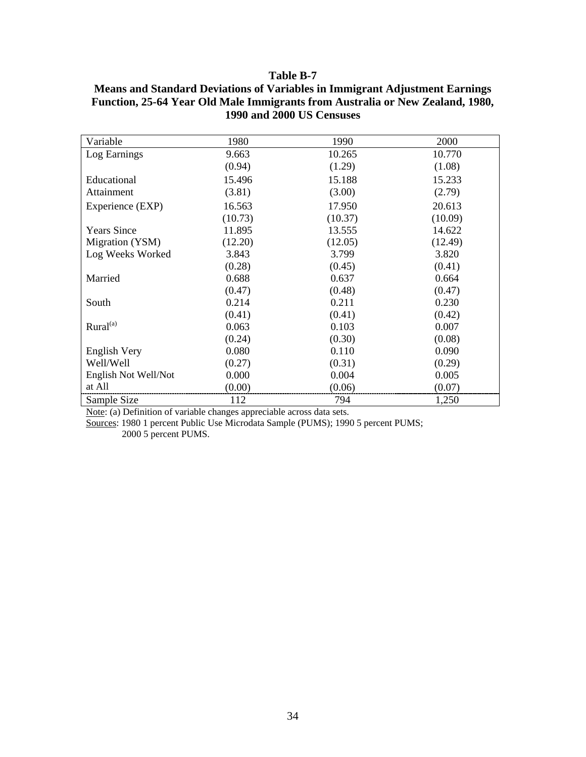| Variable             | 1980    | 1990    | 2000    |
|----------------------|---------|---------|---------|
| Log Earnings         | 9.663   | 10.265  | 10.770  |
|                      | (0.94)  | (1.29)  | (1.08)  |
| Educational          | 15.496  | 15.188  | 15.233  |
| Attainment           | (3.81)  | (3.00)  | (2.79)  |
| Experience (EXP)     | 16.563  | 17.950  | 20.613  |
|                      | (10.73) | (10.37) | (10.09) |
| <b>Years Since</b>   | 11.895  | 13.555  | 14.622  |
| Migration (YSM)      | (12.20) | (12.05) | (12.49) |
| Log Weeks Worked     | 3.843   | 3.799   | 3.820   |
|                      | (0.28)  | (0.45)  | (0.41)  |
| Married              | 0.688   | 0.637   | 0.664   |
|                      | (0.47)  | (0.48)  | (0.47)  |
| South                | 0.214   | 0.211   | 0.230   |
|                      | (0.41)  | (0.41)  | (0.42)  |
| Rural <sup>(a)</sup> | 0.063   | 0.103   | 0.007   |
|                      | (0.24)  | (0.30)  | (0.08)  |
| English Very         | 0.080   | 0.110   | 0.090   |
| Well/Well            | (0.27)  | (0.31)  | (0.29)  |
| English Not Well/Not | 0.000   | 0.004   | 0.005   |
| at All               | (0.00)  | (0.06)  | (0.07)  |
| Sample Size          | 112     | 794     | 1,250   |

**Means and Standard Deviations of Variables in Immigrant Adjustment Earnings Function, 25-64 Year Old Male Immigrants from Australia or New Zealand, 1980, 1990 and 2000 US Censuses** 

Note: (a) Definition of variable changes appreciable across data sets.

Sources: 1980 1 percent Public Use Microdata Sample (PUMS); 1990 5 percent PUMS;

2000 5 percent PUMS.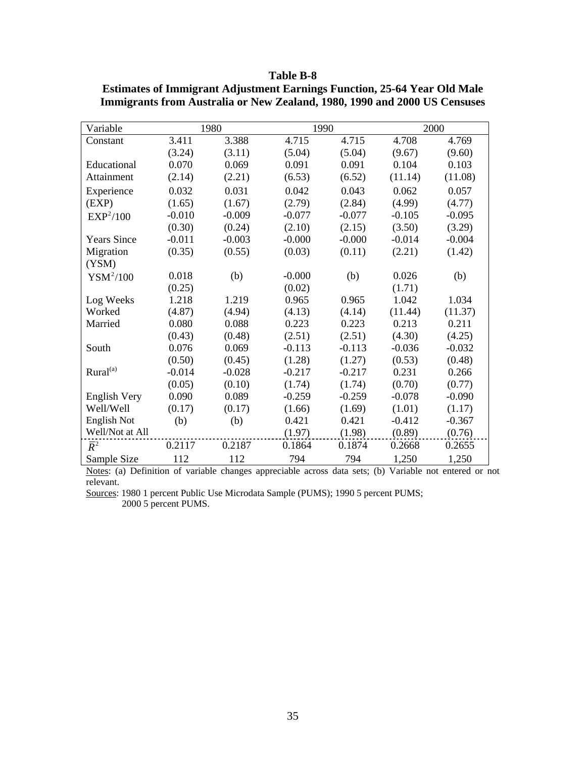| Variable              |          | 1980     | 1990     |          |          | 2000     |
|-----------------------|----------|----------|----------|----------|----------|----------|
| Constant              | 3.411    | 3.388    | 4.715    | 4.715    | 4.708    | 4.769    |
|                       | (3.24)   | (3.11)   | (5.04)   | (5.04)   | (9.67)   | (9.60)   |
| Educational           | 0.070    | 0.069    | 0.091    | 0.091    | 0.104    | 0.103    |
| Attainment            | (2.14)   | (2.21)   | (6.53)   | (6.52)   | (11.14)  | (11.08)  |
| Experience            | 0.032    | 0.031    | 0.042    | 0.043    | 0.062    | 0.057    |
| (EXP)                 | (1.65)   | (1.67)   | (2.79)   | (2.84)   | (4.99)   | (4.77)   |
| EXP <sup>2</sup> /100 | $-0.010$ | $-0.009$ | $-0.077$ | $-0.077$ | $-0.105$ | $-0.095$ |
|                       | (0.30)   | (0.24)   | (2.10)   | (2.15)   | (3.50)   | (3.29)   |
| <b>Years Since</b>    | $-0.011$ | $-0.003$ | $-0.000$ | $-0.000$ | $-0.014$ | $-0.004$ |
| Migration             | (0.35)   | (0.55)   | (0.03)   | (0.11)   | (2.21)   | (1.42)   |
| (YSM)                 |          |          |          |          |          |          |
| $YSM^2/100$           | 0.018    | (b)      | $-0.000$ | (b)      | 0.026    | (b)      |
|                       | (0.25)   |          | (0.02)   |          | (1.71)   |          |
| Log Weeks             | 1.218    | 1.219    | 0.965    | 0.965    | 1.042    | 1.034    |
| Worked                | (4.87)   | (4.94)   | (4.13)   | (4.14)   | (11.44)  | (11.37)  |
| Married               | 0.080    | 0.088    | 0.223    | 0.223    | 0.213    | 0.211    |
|                       | (0.43)   | (0.48)   | (2.51)   | (2.51)   | (4.30)   | (4.25)   |
| South                 | 0.076    | 0.069    | $-0.113$ | $-0.113$ | $-0.036$ | $-0.032$ |
|                       | (0.50)   | (0.45)   | (1.28)   | (1.27)   | (0.53)   | (0.48)   |
| Rural <sup>(a)</sup>  | $-0.014$ | $-0.028$ | $-0.217$ | $-0.217$ | 0.231    | 0.266    |
|                       | (0.05)   | (0.10)   | (1.74)   | (1.74)   | (0.70)   | (0.77)   |
| <b>English Very</b>   | 0.090    | 0.089    | $-0.259$ | $-0.259$ | $-0.078$ | $-0.090$ |
| Well/Well             | (0.17)   | (0.17)   | (1.66)   | (1.69)   | (1.01)   | (1.17)   |
| English Not           | (b)      | (b)      | 0.421    | 0.421    | $-0.412$ | $-0.367$ |
| Well/Not at All       |          |          | (1.97)   | (1.98)   | (0.89)   | (0.76)   |
| $\overline{R}^2$      | 0.2117   | 0.2187   | 0.1864   | 0.1874   | 0.2668   | 0.2655   |
| Sample Size           | 112      | 112      | 794      | 794      | 1,250    | 1,250    |

**Estimates of Immigrant Adjustment Earnings Function, 25-64 Year Old Male Immigrants from Australia or New Zealand, 1980, 1990 and 2000 US Censuses** 

Notes: (a) Definition of variable changes appreciable across data sets; (b) Variable not entered or not relevant.

Sources: 1980 1 percent Public Use Microdata Sample (PUMS); 1990 5 percent PUMS; 2000 5 percent PUMS.